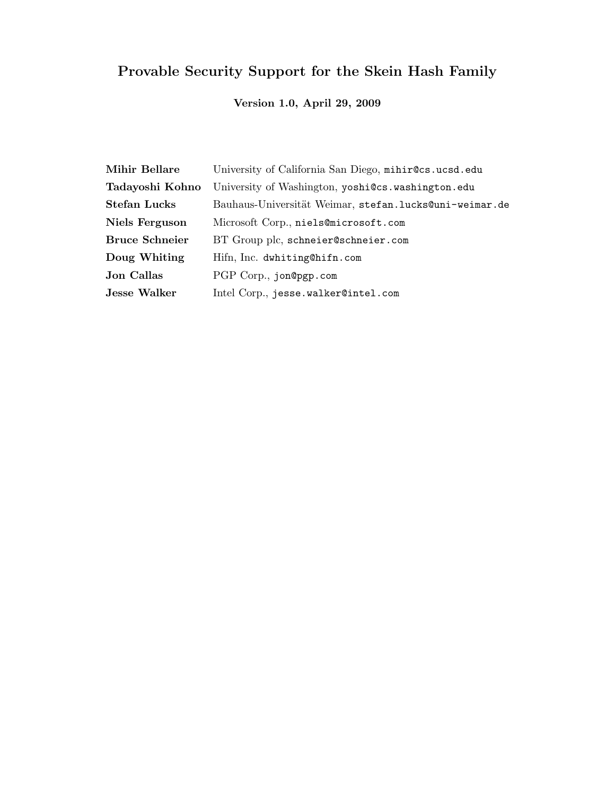# Provable Security Support for the Skein Hash Family

## Version 1.0, April 29, 2009

| Mihir Bellare         | University of California San Diego, mihir@cs.ucsd.edu  |
|-----------------------|--------------------------------------------------------|
| Tadayoshi Kohno       | University of Washington, yoshi@cs.washington.edu      |
| <b>Stefan Lucks</b>   | Bauhaus-Universität Weimar, stefan.lucks@uni-weimar.de |
| Niels Ferguson        | Microsoft Corp., niels@microsoft.com                   |
| <b>Bruce Schneier</b> | BT Group plc, schneier@schneier.com                    |
| Doug Whiting          | Hifn, Inc. dwhiting@hifn.com                           |
| <b>Jon Callas</b>     | PGP Corp., jon@pgp.com                                 |
| <b>Jesse Walker</b>   | Intel Corp., jesse.walker@intel.com                    |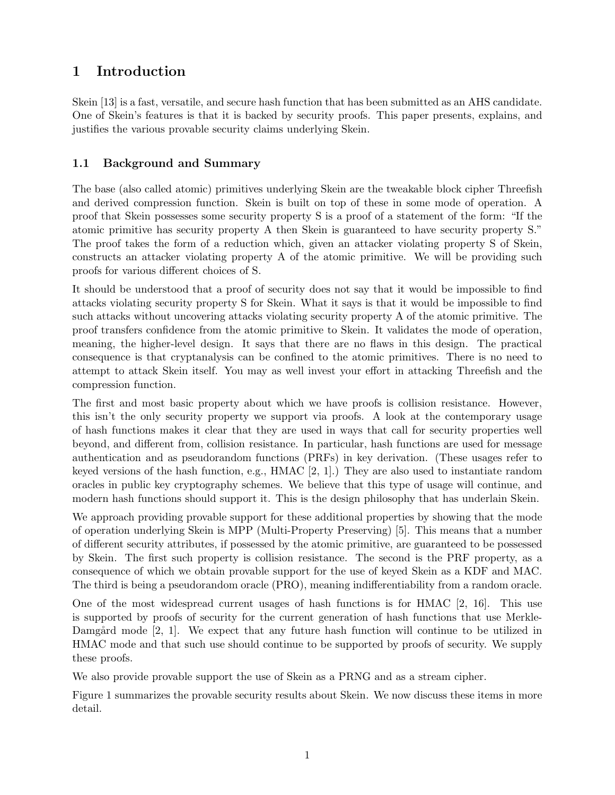## 1 Introduction

Skein [13] is a fast, versatile, and secure hash function that has been submitted as an AHS candidate. One of Skein's features is that it is backed by security proofs. This paper presents, explains, and justifies the various provable security claims underlying Skein.

## 1.1 Background and Summary

The base (also called atomic) primitives underlying Skein are the tweakable block cipher Threefish and derived compression function. Skein is built on top of these in some mode of operation. A proof that Skein possesses some security property S is a proof of a statement of the form: "If the atomic primitive has security property A then Skein is guaranteed to have security property S." The proof takes the form of a reduction which, given an attacker violating property S of Skein, constructs an attacker violating property A of the atomic primitive. We will be providing such proofs for various different choices of S.

It should be understood that a proof of security does not say that it would be impossible to find attacks violating security property S for Skein. What it says is that it would be impossible to find such attacks without uncovering attacks violating security property A of the atomic primitive. The proof transfers confidence from the atomic primitive to Skein. It validates the mode of operation, meaning, the higher-level design. It says that there are no flaws in this design. The practical consequence is that cryptanalysis can be confined to the atomic primitives. There is no need to attempt to attack Skein itself. You may as well invest your effort in attacking Threefish and the compression function.

The first and most basic property about which we have proofs is collision resistance. However, this isn't the only security property we support via proofs. A look at the contemporary usage of hash functions makes it clear that they are used in ways that call for security properties well beyond, and different from, collision resistance. In particular, hash functions are used for message authentication and as pseudorandom functions (PRFs) in key derivation. (These usages refer to keyed versions of the hash function, e.g.,  $HMAC [2, 1]$ .) They are also used to instantiate random oracles in public key cryptography schemes. We believe that this type of usage will continue, and modern hash functions should support it. This is the design philosophy that has underlain Skein.

We approach providing provable support for these additional properties by showing that the mode of operation underlying Skein is MPP (Multi-Property Preserving) [5]. This means that a number of different security attributes, if possessed by the atomic primitive, are guaranteed to be possessed by Skein. The first such property is collision resistance. The second is the PRF property, as a consequence of which we obtain provable support for the use of keyed Skein as a KDF and MAC. The third is being a pseudorandom oracle (PRO), meaning indifferentiability from a random oracle.

One of the most widespread current usages of hash functions is for HMAC [2, 16]. This use is supported by proofs of security for the current generation of hash functions that use Merkle-Damgård mode  $[2, 1]$ . We expect that any future hash function will continue to be utilized in HMAC mode and that such use should continue to be supported by proofs of security. We supply these proofs.

We also provide provable support the use of Skein as a PRNG and as a stream cipher.

Figure 1 summarizes the provable security results about Skein. We now discuss these items in more detail.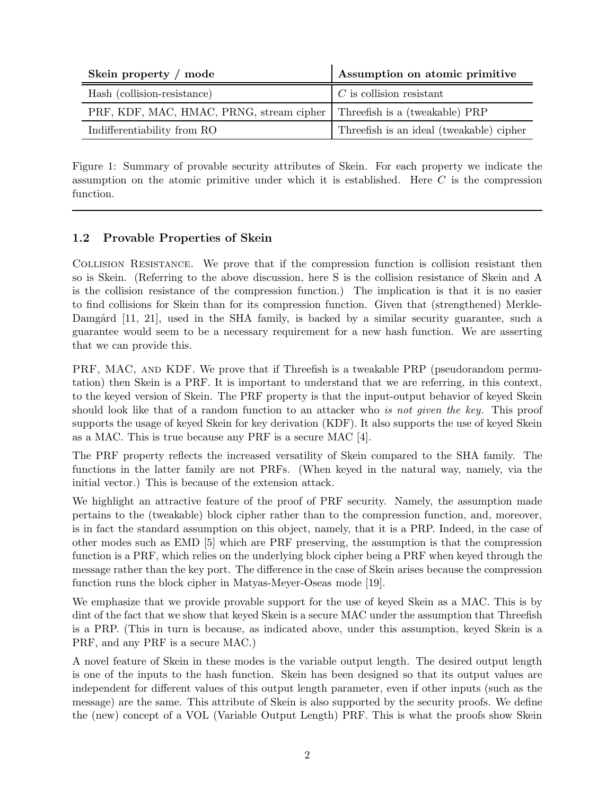| Skein property / mode                                                     | Assumption on atomic primitive           |
|---------------------------------------------------------------------------|------------------------------------------|
| Hash (collision-resistance)                                               | $C$ is collision resistant               |
| PRF, KDF, MAC, HMAC, PRNG, stream cipher   Threefish is a (tweakable) PRP |                                          |
| Indifferentiability from RO                                               | Threefish is an ideal (tweakable) cipher |

Figure 1: Summary of provable security attributes of Skein. For each property we indicate the assumption on the atomic primitive under which it is established. Here  $C$  is the compression function.

## 1.2 Provable Properties of Skein

Collision Resistance. We prove that if the compression function is collision resistant then so is Skein. (Referring to the above discussion, here S is the collision resistance of Skein and A is the collision resistance of the compression function.) The implication is that it is no easier to find collisions for Skein than for its compression function. Given that (strengthened) Merkle-Damgård [11, 21], used in the SHA family, is backed by a similar security guarantee, such a guarantee would seem to be a necessary requirement for a new hash function. We are asserting that we can provide this.

PRF, MAC, AND KDF. We prove that if Threefish is a tweakable PRP (pseudorandom permutation) then Skein is a PRF. It is important to understand that we are referring, in this context, to the keyed version of Skein. The PRF property is that the input-output behavior of keyed Skein should look like that of a random function to an attacker who is not given the key. This proof supports the usage of keyed Skein for key derivation (KDF). It also supports the use of keyed Skein as a MAC. This is true because any PRF is a secure MAC [4].

The PRF property reflects the increased versatility of Skein compared to the SHA family. The functions in the latter family are not PRFs. (When keyed in the natural way, namely, via the initial vector.) This is because of the extension attack.

We highlight an attractive feature of the proof of PRF security. Namely, the assumption made pertains to the (tweakable) block cipher rather than to the compression function, and, moreover, is in fact the standard assumption on this object, namely, that it is a PRP. Indeed, in the case of other modes such as EMD [5] which are PRF preserving, the assumption is that the compression function is a PRF, which relies on the underlying block cipher being a PRF when keyed through the message rather than the key port. The difference in the case of Skein arises because the compression function runs the block cipher in Matyas-Meyer-Oseas mode [19].

We emphasize that we provide provable support for the use of keyed Skein as a MAC. This is by dint of the fact that we show that keyed Skein is a secure MAC under the assumption that Threefish is a PRP. (This in turn is because, as indicated above, under this assumption, keyed Skein is a PRF, and any PRF is a secure MAC.)

A novel feature of Skein in these modes is the variable output length. The desired output length is one of the inputs to the hash function. Skein has been designed so that its output values are independent for different values of this output length parameter, even if other inputs (such as the message) are the same. This attribute of Skein is also supported by the security proofs. We define the (new) concept of a VOL (Variable Output Length) PRF. This is what the proofs show Skein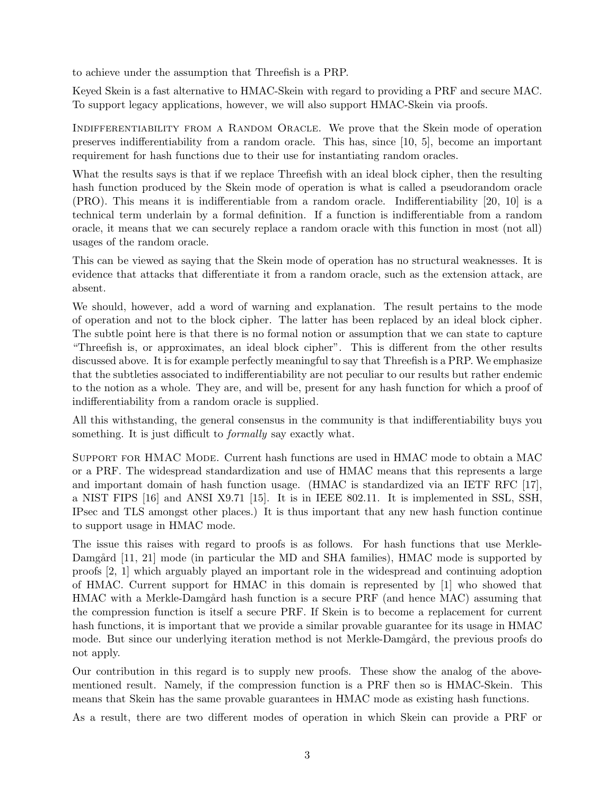to achieve under the assumption that Threefish is a PRP.

Keyed Skein is a fast alternative to HMAC-Skein with regard to providing a PRF and secure MAC. To support legacy applications, however, we will also support HMAC-Skein via proofs.

INDIFFERENTIABILITY FROM A RANDOM ORACLE. We prove that the Skein mode of operation preserves indifferentiability from a random oracle. This has, since [10, 5], become an important requirement for hash functions due to their use for instantiating random oracles.

What the results says is that if we replace Threefish with an ideal block cipher, then the resulting hash function produced by the Skein mode of operation is what is called a pseudorandom oracle (PRO). This means it is indifferentiable from a random oracle. Indifferentiability [20, 10] is a technical term underlain by a formal definition. If a function is indifferentiable from a random oracle, it means that we can securely replace a random oracle with this function in most (not all) usages of the random oracle.

This can be viewed as saying that the Skein mode of operation has no structural weaknesses. It is evidence that attacks that differentiate it from a random oracle, such as the extension attack, are absent.

We should, however, add a word of warning and explanation. The result pertains to the mode of operation and not to the block cipher. The latter has been replaced by an ideal block cipher. The subtle point here is that there is no formal notion or assumption that we can state to capture "Threefish is, or approximates, an ideal block cipher". This is different from the other results discussed above. It is for example perfectly meaningful to say that Threefish is a PRP. We emphasize that the subtleties associated to indifferentiability are not peculiar to our results but rather endemic to the notion as a whole. They are, and will be, present for any hash function for which a proof of indifferentiability from a random oracle is supplied.

All this withstanding, the general consensus in the community is that indifferentiability buys you something. It is just difficult to *formally* say exactly what.

Support for HMAC Mode. Current hash functions are used in HMAC mode to obtain a MAC or a PRF. The widespread standardization and use of HMAC means that this represents a large and important domain of hash function usage. (HMAC is standardized via an IETF RFC [17], a NIST FIPS [16] and ANSI X9.71 [15]. It is in IEEE 802.11. It is implemented in SSL, SSH, IPsec and TLS amongst other places.) It is thus important that any new hash function continue to support usage in HMAC mode.

The issue this raises with regard to proofs is as follows. For hash functions that use Merkle-Damgård [11, 21] mode (in particular the MD and SHA families), HMAC mode is supported by proofs [2, 1] which arguably played an important role in the widespread and continuing adoption of HMAC. Current support for HMAC in this domain is represented by [1] who showed that HMAC with a Merkle-Damgård hash function is a secure PRF (and hence MAC) assuming that the compression function is itself a secure PRF. If Skein is to become a replacement for current hash functions, it is important that we provide a similar provable guarantee for its usage in HMAC mode. But since our underlying iteration method is not Merkle-Damgård, the previous proofs do not apply.

Our contribution in this regard is to supply new proofs. These show the analog of the abovementioned result. Namely, if the compression function is a PRF then so is HMAC-Skein. This means that Skein has the same provable guarantees in HMAC mode as existing hash functions.

As a result, there are two different modes of operation in which Skein can provide a PRF or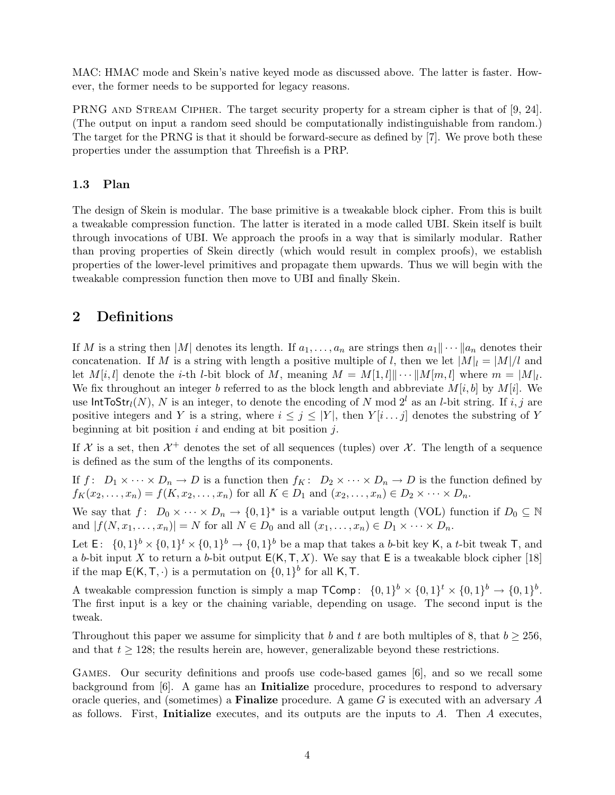MAC: HMAC mode and Skein's native keyed mode as discussed above. The latter is faster. However, the former needs to be supported for legacy reasons.

PRNG AND STREAM CIPHER. The target security property for a stream cipher is that of [9, 24]. (The output on input a random seed should be computationally indistinguishable from random.) The target for the PRNG is that it should be forward-secure as defined by [7]. We prove both these properties under the assumption that Threefish is a PRP.

### 1.3 Plan

The design of Skein is modular. The base primitive is a tweakable block cipher. From this is built a tweakable compression function. The latter is iterated in a mode called UBI. Skein itself is built through invocations of UBI. We approach the proofs in a way that is similarly modular. Rather than proving properties of Skein directly (which would result in complex proofs), we establish properties of the lower-level primitives and propagate them upwards. Thus we will begin with the tweakable compression function then move to UBI and finally Skein.

## 2 Definitions

If M is a string then |M| denotes its length. If  $a_1, \ldots, a_n$  are strings then  $a_1 \|\cdots \| a_n$  denotes their concatenation. If M is a string with length a positive multiple of l, then we let  $|M|_l = |M|/l$  and let  $M[i, l]$  denote the *i*-th *l*-bit block of M, meaning  $M = M[1, l]$   $\cdots$   $\|M[m, l]$  where  $m = |M|_l$ . We fix throughout an integer b referred to as the block length and abbreviate  $M[i, b]$  by  $M[i]$ . We use  $IntToStr<sub>l</sub>(N), N$  is an integer, to denote the encoding of N mod  $2<sup>l</sup>$  as an l-bit string. If i, j are positive integers and Y is a string, where  $i \leq j \leq |Y|$ , then  $Y[i \dots j]$  denotes the substring of Y beginning at bit position  $i$  and ending at bit position  $j$ .

If X is a set, then  $\mathcal{X}^+$  denotes the set of all sequences (tuples) over X. The length of a sequence is defined as the sum of the lengths of its components.

If  $f: D_1 \times \cdots \times D_n \to D$  is a function then  $f_K: D_2 \times \cdots \times D_n \to D$  is the function defined by  $f_K(x_2,...,x_n) = f(K, x_2,...,x_n)$  for all  $K \in D_1$  and  $(x_2,...,x_n) \in D_2 \times \cdots \times D_n$ .

We say that  $f: D_0 \times \cdots \times D_n \to \{0,1\}^*$  is a variable output length (VOL) function if  $D_0 \subseteq \mathbb{N}$ and  $|f(N, x_1, \ldots, x_n)| = N$  for all  $N \in D_0$  and all  $(x_1, \ldots, x_n) \in D_1 \times \cdots \times D_n$ .

Let  $\mathsf{E}: \{0,1\}^b \times \{0,1\}^t \times \{0,1\}^b \to \{0,1\}^b$  be a map that takes a b-bit key K, a t-bit tweak T, and a b-bit input X to return a b-bit output  $E(K, T, X)$ . We say that E is a tweakable block cipher [18] if the map  $E(K, T, \cdot)$  is a permutation on  $\{0, 1\}^b$  for all K, T.

A tweakable compression function is simply a map  $\mathsf{TComp} \colon \{0,1\}^b \times \{0,1\}^t \times \{0,1\}^b \to \{0,1\}^b$ . The first input is a key or the chaining variable, depending on usage. The second input is the tweak.

Throughout this paper we assume for simplicity that b and t are both multiples of 8, that  $b > 256$ , and that  $t \geq 128$ ; the results herein are, however, generalizable beyond these restrictions.

Games. Our security definitions and proofs use code-based games [6], and so we recall some background from [6]. A game has an Initialize procedure, procedures to respond to adversary oracle queries, and (sometimes) a **Finalize** procedure. A game  $G$  is executed with an adversary  $A$ as follows. First, Initialize executes, and its outputs are the inputs to  $A$ . Then  $A$  executes,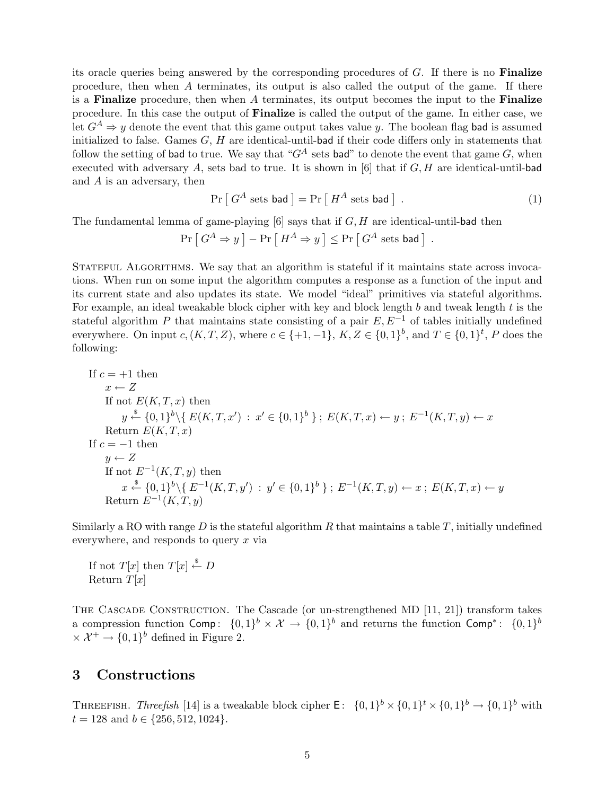its oracle queries being answered by the corresponding procedures of G. If there is no Finalize procedure, then when A terminates, its output is also called the output of the game. If there is a Finalize procedure, then when  $A$  terminates, its output becomes the input to the Finalize procedure. In this case the output of Finalize is called the output of the game. In either case, we let  $G^A \Rightarrow y$  denote the event that this game output takes value y. The boolean flag bad is assumed initialized to false. Games  $G, H$  are identical-until-bad if their code differs only in statements that follow the setting of bad to true. We say that " $G<sup>A</sup>$  sets bad" to denote the event that game G, when executed with adversary  $A$ , sets bad to true. It is shown in [6] that if  $G, H$  are identical-until-bad and A is an adversary, then

$$
\Pr\left[G^A \text{ sets bad}\right] = \Pr\left[H^A \text{ sets bad}\right].\tag{1}
$$

The fundamental lemma of game-playing  $[6]$  says that if  $G, H$  are identical-until-bad then

$$
\Pr\left[\,G^A \Rightarrow y\,\right] - \Pr\left[\,H^A \Rightarrow y\,\right] \leq \Pr\left[\,G^A \text{ sets bad}\,\right] \;.
$$

Stateful Algorithms. We say that an algorithm is stateful if it maintains state across invocations. When run on some input the algorithm computes a response as a function of the input and its current state and also updates its state. We model "ideal" primitives via stateful algorithms. For example, an ideal tweakable block cipher with key and block length  $b$  and tweak length  $t$  is the stateful algorithm P that maintains state consisting of a pair  $E, E^{-1}$  of tables initially undefined everywhere. On input  $c, (K, T, Z)$ , where  $c \in \{+1, -1\}$ ,  $K, Z \in \{0, 1\}^b$ , and  $T \in \{0, 1\}^t$ , P does the following:

If 
$$
c = +1
$$
 then  
\n $x \leftarrow Z$   
\nIf not  $E(K, T, x)$  then  
\n $y \stackrel{s}{\leftarrow} \{0, 1\}^b \setminus \{E(K, T, x') : x' \in \{0, 1\}^b\}; E(K, T, x) \leftarrow y; E^{-1}(K, T, y) \leftarrow x$   
\nReturn  $E(K, T, x)$   
\nIf  $c = -1$  then  
\n $y \leftarrow Z$   
\nIf not  $E^{-1}(K, T, y)$  then  
\n $x \stackrel{s}{\leftarrow} \{0, 1\}^b \setminus \{E^{-1}(K, T, y') : y' \in \{0, 1\}^b\}; E^{-1}(K, T, y) \leftarrow x; E(K, T, x) \leftarrow y$   
\nReturn  $E^{-1}(K, T, y)$ 

Similarly a RO with range D is the stateful algorithm R that maintains a table T, initially undefined everywhere, and responds to query  $x$  via

If not  $T[x]$  then  $T[x] \stackrel{\$}{\leftarrow} D$ Return  $T[x]$ 

THE CASCADE CONSTRUCTION. The Cascade (or un-strengthened MD [11, 21]) transform takes a compression function Comp:  $\{0,1\}^b \times \mathcal{X} \to \{0,1\}^b$  and returns the function Comp<sup>\*</sup>:  $\{0,1\}^b$  $\times \mathcal{X}^+ \rightarrow \{0,1\}^b$  defined in Figure 2.

## 3 Constructions

THREEFISH. Threefish [14] is a tweakable block cipher  $\mathsf{E}: \ \{0,1\}^b \times \{0,1\}^t \times \{0,1\}^b \to \{0,1\}^b$  with  $t = 128$  and  $b \in \{256, 512, 1024\}.$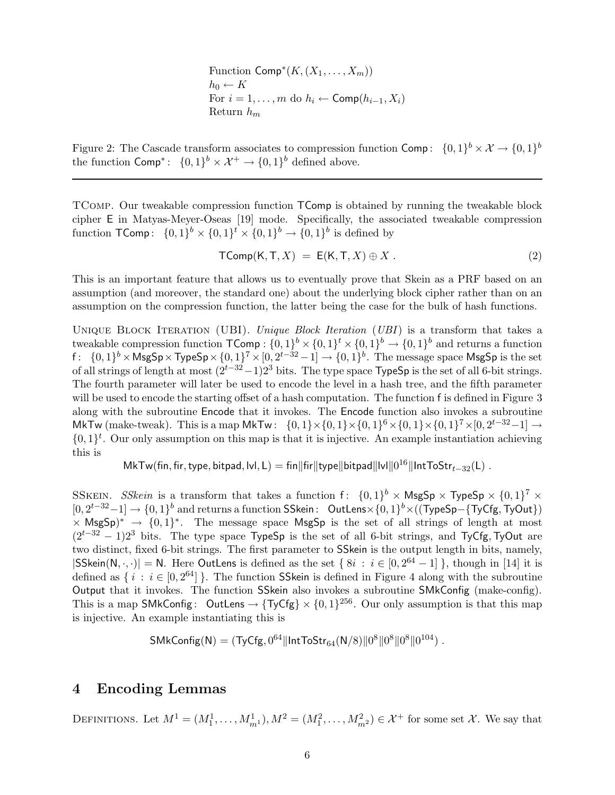Function  $\mathsf{Comp}^*(K,(X_1,\ldots,X_m))$  $h_0 \leftarrow K$ For  $i = 1, \ldots, m$  do  $h_i \leftarrow \textsf{Comp}(h_{i-1}, X_i)$ Return  $h_m$ 

Figure 2: The Cascade transform associates to compression function  $\textsf{Comp}: \{0,1\}^b \times \mathcal{X} \to \{0,1\}^b$ the function  $\textsf{Comp}^*$ :  $\{0,1\}^b \times \mathcal{X}^+ \to \{0,1\}^b$  defined above.

TComp. Our tweakable compression function TComp is obtained by running the tweakable block cipher E in Matyas-Meyer-Oseas [19] mode. Specifically, the associated tweakable compression function  $\mathsf{TComp} \colon \{0,1\}^b \times \{0,1\}^t \times \{0,1\}^b \to \{0,1\}^b$  is defined by

$$
\mathsf{TComp}(\mathsf{K}, \mathsf{T}, X) = \mathsf{E}(\mathsf{K}, \mathsf{T}, X) \oplus X \,. \tag{2}
$$

This is an important feature that allows us to eventually prove that Skein as a PRF based on an assumption (and moreover, the standard one) about the underlying block cipher rather than on an assumption on the compression function, the latter being the case for the bulk of hash functions.

UNIQUE BLOCK ITERATION (UBI). Unique Block Iteration (UBI) is a transform that takes a tweakable compression function  $\mathsf{TComp} : \{0,1\}^b \times \{0,1\}^t \times \{0,1\}^b \to \{0,1\}^b$  and returns a function f:  $\{0,1\}^b$  × MsgSp × TypeSp ×  $\{0,1\}^7$  ×  $[0,2^{t-32}-1]$   $\rightarrow$   $\{0,1\}^b$ . The message space MsgSp is the set of all strings of length at most  $(2^{t-32}-1)2^3$  bits. The type space TypeSp is the set of all 6-bit strings. The fourth parameter will later be used to encode the level in a hash tree, and the fifth parameter will be used to encode the starting offset of a hash computation. The function f is defined in Figure 3 along with the subroutine Encode that it invokes. The Encode function also invokes a subroutine MkTw (make-tweak). This is a map MkTw:  $\{0,1\}\times\{0,1\}\times\{0,1\}^6\times\{0,1\}\times\{0,1\}^7\times[0,2^{t-32}-1] \to$  $\{0,1\}^t$ . Our only assumption on this map is that it is injective. An example instantiation achieving this is

 ${\sf MkTw}({\sf fin},{\sf fir},{\sf type},{\sf bitpad},{\sf lvl},{\sf L})={\sf fin} \| {\sf fir} \| {\sf typel} \| {\sf bitpad} \| \| {\sf vl} \| 0^{16} \| {\sf Int}{\sf To} {\sf Str}_{t-32}({\sf L})\;.$ 

SSKEIN. SSkein is a transform that takes a function  $f: \{0,1\}^b \times \mathsf{MsgSp} \times \mathsf{TypeSp} \times \{0,1\}^7 \times$  $[0, 2^{t-32}-1] \rightarrow \{0, 1\}^b$  and returns a function SSkein: OutLens× $\{0, 1\}^b \times (\mathsf{TypeSp} - \{\mathsf{TyCfg}, \mathsf{TyOut}\})$  $\times$  MsgSp)<sup>\*</sup>  $\rightarrow$  {0,1}<sup>\*</sup>. The message space MsgSp is the set of all strings of length at most  $(2<sup>t-32</sup> - 1)2<sup>3</sup>$  bits. The type space TypeSp is the set of all 6-bit strings, and TyCfg, TyOut are two distinct, fixed 6-bit strings. The first parameter to SSkein is the output length in bits, namely,  $|{\sf SSkein}(N, \cdot, \cdot)| = N$ . Here OutLens is defined as the set  $\{8i : i \in [0, 2^{64} - 1]\}$ , though in [14] it is defined as  $\{i : i \in [0, 2^{64}] \}$ . The function SSkein is defined in Figure 4 along with the subroutine Output that it invokes. The function SSkein also invokes a subroutine SMkConfig (make-config). This is a map SMkConfig: OutLens  $\rightarrow$  {TyCfg}  $\times$  {0, 1}<sup>256</sup>. Our only assumption is that this map is injective. An example instantiating this is

$$
\mathsf{SMkConfig(N)} = (\mathsf{TyCfg}, 0^{64}\|\mathsf{IntToStr}_{64}(\mathsf{N}/8)\|0^8\|0^8\|0^8\|0^{104})\;.
$$

## 4 Encoding Lemmas

DEFINITIONS. Let  $M^1=(M_1^1,\ldots,M_{m^1}^1), M^2=(M_1^2,\ldots,M_{m^2}^2)\in \mathcal{X}^+$  for some set  $\mathcal{X}$ . We say that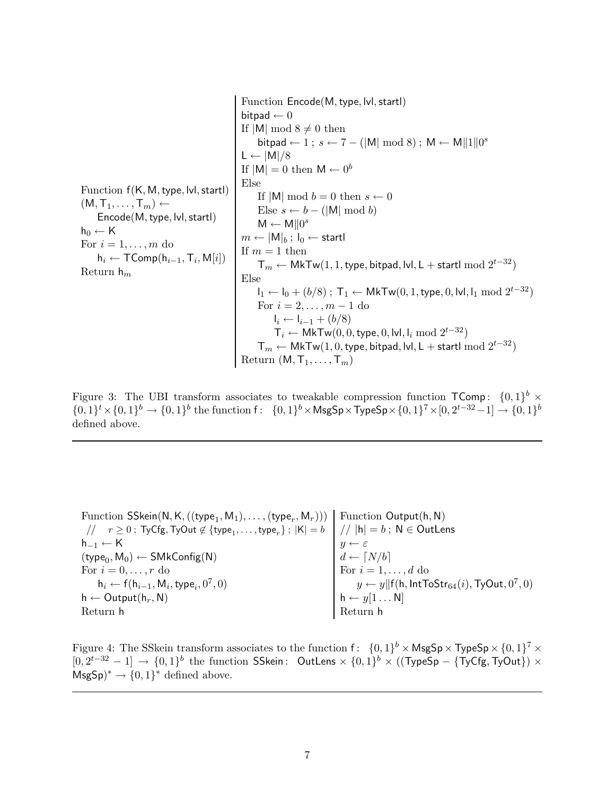Function  $f(K, M, type, Ivl, startl)$  $(M, T_1, \ldots, T_m) \leftarrow$ Encode(M, type, lvl, startl)  $h_0 \leftarrow K$ For  $i = 1, \ldots, m$  do  $\mathsf{h}_i \leftarrow \mathsf{TComp}(\mathsf{h}_{i-1}, \mathsf{T}_i, \mathsf{M}[i])$ Return  $h_m$ Function Encode(M, type, lvl, startl) bitpad  $\leftarrow 0$ If  $|M| \mod 8 \neq 0$  then bitpad  $\leftarrow 1$ ;  $s \leftarrow 7 - (|\mathsf{M}| \bmod 8)$ ;  $\mathsf{M} \leftarrow \mathsf{M} ||1|| 0^s$  $L \leftarrow |M|/8$ If  $|M| = 0$  then  $M \leftarrow 0^b$ Else If  $|M|$  mod  $b = 0$  then  $s \leftarrow 0$ Else  $s \leftarrow b - (|\mathsf{M}| \bmod b)$  $M \leftarrow M||0^s$  $m \leftarrow |M|_b$ ;  $I_0 \leftarrow$  startl If  $m = 1$  then  $T_m$  ← MkTw(1, 1, type, bitpad, lvl, L + startl mod  $2^{t-32}$ ) Else  $I_1 \leftarrow I_0 + (b/8)$ ; T<sub>1</sub> ← MkTw(0, 1, type, 0, lvl, l<sub>1</sub> mod  $2^{t-32}$ ) For  $i = 2, ..., m - 1$  do  $I_i \leftarrow I_{i-1} + (b/8)$  $\mathsf{T}_i \leftarrow \mathsf{MkTw}(0,0,\mathsf{type},0,\mathsf{lvl},\mathsf{l}_i \bmod 2^{t-32})$  $\mathsf{T}_m \leftarrow \mathsf{MkTw}(1,0,\mathsf{type},\mathsf{bitpad},\mathsf{lvl},\mathsf{L}+\mathsf{startl}\bmod 2^{t-32})$ Return  $(M, T_1, \ldots, T_m)$ 

Figure 3: The UBI transform associates to tweakable compression function  $\mathsf{TComp}\colon \{0,1\}^b \times$  ${0, 1}^t \times {0, 1}^b \to {0, 1}^b$  the function  $f: {0, 1}^b \times \mathsf{MsgSp} \times \mathsf{TypeSp} \times {0, 1}^7 \times {0, 2}^{t-32} - 1] \to {0, 1}^b$ defined above.

Function SSkein(N, K, ((type<sub>1</sub>, M<sub>1</sub>),..., (type<sub>r</sub>, M<sub>r</sub>)))\n// 
$$
r \ge 0
$$
; TyCfg, TyOut  $\notin$  {type<sub>1</sub>,..., type<sub>r</sub>};  $|K| = b$ \n
$$
\begin{array}{c}\nN / |h| = b; N \in OutLens \\
N \leftarrow K \\
(type0, M0) \leftarrow SMKConfig(N) \\
For i = 0,..., r do\n hi \leftarrow f(hi-1, Mi, typei, 07, 0)\n h  $\leftarrow Output(hr, N)\n\end{array}$ \n\nLeturn h\n\n
$$
\begin{array}{c}\n\text{Function Output}(h, N) \\
\text{Function Output}(h, N) \\
\text{Function Output}(h, N)\n\end{array}
$$
\n\n
$$
\begin{array}{c}\n\text{Function Output}(h, N) \\
\text{Function Output}(h, N)\n\end{array}
$$
$$

Figure 4: The SSkein transform associates to the function  $f: \{0,1\}^b \times \mathsf{MsgSp} \times \mathsf{TypeSp} \times \{0,1\}^7 \times$  $[0, 2^{t-32} - 1] \rightarrow \{0, 1\}^b$  the function SSkein: OutLens  $\times \{0, 1\}^b \times ((TypeSp - \{TyCfg, TyOut\}) \times$  $MsgSp^* \to \{0,1\}^*$  defined above.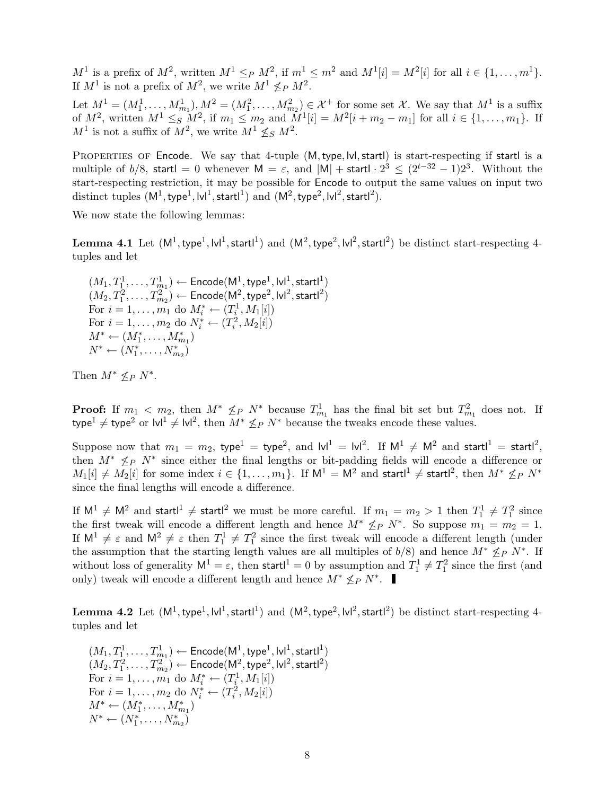$M^1$  is a prefix of  $M^2$ , written  $M^1 \leq_P M^2$ , if  $m^1 \leq m^2$  and  $M^1[i] = M^2[i]$  for all  $i \in \{1, \ldots, m^1\}$ . If  $M^1$  is not a prefix of  $M^2$ , we write  $M^1 \nleq_P M^2$ .

Let  $M^1 = (M_1^1, \ldots, M_{m_1}^1), M^2 = (M_1^2, \ldots, M_{m_2}^2) \in \mathcal{X}^+$  for some set X. We say that  $M^1$  is a suffix of  $M^2$ , written  $M^1 \leq_S M^2$ , if  $m_1 \leq m_2$  and  $M^1[i] = M^2[i+m_2-m_1]$  for all  $i \in \{1, ..., m_1\}$ . If  $M^1$  is not a suffix of  $M^2$ , we write  $M^1 \nleq_S M^2$ .

PROPERTIES OF Encode. We say that 4-tuple  $(M, type, Ivl, start)$  is start-respecting if startl is a multiple of  $b/8$ , startl = 0 whenever  $M = \varepsilon$ , and  $|M| +$  startl ·  $2^3 \leq (2^{t-32} - 1)2^3$ . Without the start-respecting restriction, it may be possible for Encode to output the same values on input two  $\rm{distinct \ tuples} \ (M^1, \rm{type}^1, \rm{Ivl}^1, \rm{startl}^1) \ and \ (M^2, \rm{type}^2, \rm{Ivl}^2, \rm{startl}^2).$ 

We now state the following lemmas:

Lemma 4.1 Let  $(M^1, \text{type}^1, \text{lvl}^1, \text{startl}^1)$  and  $(M^2, \text{type}^2, \text{lvl}^2, \text{startl}^2)$  be distinct start-respecting 4tuples and let

 $(M_1, T_1^1, \ldots, T_{m_1}^1) \leftarrow \mathsf{Encode}(\mathsf{M}^1, \mathsf{type}^1, \mathsf{lvl}^1, \mathsf{startl}^1)$  $(M_2, T_1^2, \ldots, T_{m_2}^2) \leftarrow$  Encode $(\mathsf{M}^2, \mathsf{type}^2, \mathsf{Ivl}^2, \mathsf{startl}^2)$ For  $i = 1, ..., m_1$  do  $M_i^* \leftarrow (T_i^1, M_1[i])$ For  $i = 1, ..., m_2$  do  $N_i^* \leftarrow (T_i^2, M_2[i])$  $M^* \leftarrow (M_1^*, \ldots, M_{m_1}^*)$  $N^* \leftarrow (N_1^*, \ldots, N_{m_2}^*)$ 

Then  $M^* \nleq_P N^*$ .

**Proof:** If  $m_1 < m_2$ , then  $M^* \nleq_P N^*$  because  $T_{m_1}^1$  has the final bit set but  $T_{m_1}^2$  does not. If type<sup>1</sup>  $\neq$  type<sup>2</sup> or  $|v|^1 \neq |v|^2$ , then  $M^* \nleq_P N^*$  because the tweaks encode these values.

Suppose now that  $m_1 = m_2$ , type<sup>1</sup> = type<sup>2</sup>, and  $\text{lvl}^1 = \text{lvl}^2$ . If  $\text{M}^1 \neq \text{M}^2$  and startl<sup>1</sup> = startl<sup>2</sup>, then  $M^* \nleq_P N^*$  since either the final lengths or bit-padding fields will encode a difference or  $M_1[i]\neq M_2[i]$  for some index  $i\in\{1,\ldots,m_1\}.$  If  $\mathsf{M}^1=\mathsf{M}^2$  and startl<sup>1</sup>  $\neq$  startl<sup>2</sup>, then  $M^*\not\leq_P N^*$ since the final lengths will encode a difference.

If  $\mathsf{M}^1 \neq \mathsf{M}^2$  and startl<sup>1</sup>  $\neq$  startl<sup>2</sup> we must be more careful. If  $m_1 = m_2 > 1$  then  $T_1^1 \neq T_1^2$  since the first tweak will encode a different length and hence  $M^* \nleq_P N^*$ . So suppose  $m_1 = m_2 = 1$ . If  $M^1 \neq \varepsilon$  and  $M^2 \neq \varepsilon$  then  $T_1^1 \neq T_1^2$  since the first tweak will encode a different length (under the assumption that the starting length values are all multiples of  $b/8$ ) and hence  $M^* \nleq_P N^*$ . If without loss of generality  $M^1 = \varepsilon$ , then startl<sup>1</sup> = 0 by assumption and  $T_1^1 \neq T_1^2$  since the first (and only) tweak will encode a different length and hence  $M^* \nleq_P N^*$ .

Lemma 4.2 Let  $(M^1,\text{type}^1,\text{lvl}^1,\text{startl}^1)$  and  $(M^2,\text{type}^2,\text{lvl}^2,\text{startl}^2)$  be distinct start-respecting 4tuples and let

 $(M_1,T_1^1,\ldots,T_{m_1}^1) \leftarrow \mathsf{Encode}(\mathsf{M}^1,\mathsf{type}^1,\mathsf{lvl}^1,\mathsf{startl}^1)$  $(M_2, T_1^2, \ldots, T_{m_2}^2) \leftarrow$  Encode $(\mathsf{M}^2, \mathsf{type}^2, \mathsf{Ivl}^2, \mathsf{startl}^2)$ For  $i = 1, ..., m_1$  do  $M_i^* \leftarrow (T_i^1, M_1[i])$ For  $i = 1, ..., m_2$  do  $N_i^* \leftarrow (T_i^2, M_2[i])$  $M^* \leftarrow (M^*_1, \ldots, M^*_{m_1})$  $N^* \leftarrow (N_1^*, \ldots, N_{m_2}^*)$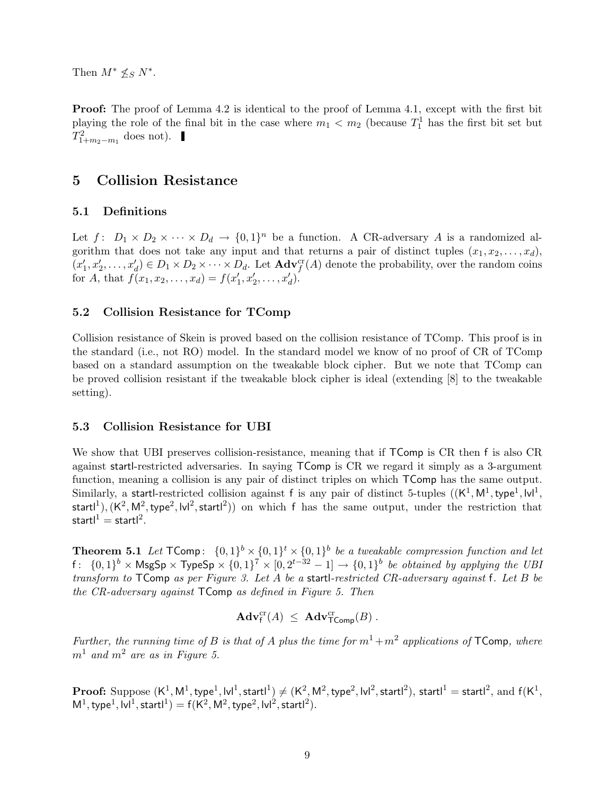Then  $M^* \nleq_S N^*$ .

**Proof:** The proof of Lemma 4.2 is identical to the proof of Lemma 4.1, except with the first bit playing the role of the final bit in the case where  $m_1 < m_2$  (because  $T_1^1$  has the first bit set but  $T_{1+m_2-m_1}^2$  does not).

## 5 Collision Resistance

#### 5.1 Definitions

Let  $f: D_1 \times D_2 \times \cdots \times D_d \to \{0,1\}^n$  be a function. A CR-adversary A is a randomized algorithm that does not take any input and that returns a pair of distinct tuples  $(x_1, x_2, \ldots, x_d)$ ,  $\bar(x_1'$  $\mathcal{L}_1', x_2', \ldots, x_d' \in D_1 \times D_2 \times \cdots \times D_d$ . Let  $\mathbf{Adv}_f^{\mathrm{cr}}(A)$  denote the probability, over the random coins for A, that  $f(x_1, x_2, ..., x_d) = f(x_1)$  $\sum_{1}^{\prime} x_{2}^{\prime}, \ldots, x_{d}^{\prime}$ 

#### 5.2 Collision Resistance for TComp

Collision resistance of Skein is proved based on the collision resistance of TComp. This proof is in the standard (i.e., not RO) model. In the standard model we know of no proof of CR of TComp based on a standard assumption on the tweakable block cipher. But we note that TComp can be proved collision resistant if the tweakable block cipher is ideal (extending [8] to the tweakable setting).

#### 5.3 Collision Resistance for UBI

We show that UBI preserves collision-resistance, meaning that if  $\mathsf{Toemp}$  is CR then f is also CR against startl-restricted adversaries. In saying TComp is CR we regard it simply as a 3-argument function, meaning a collision is any pair of distinct triples on which TComp has the same output. Similarly, a startl-restricted collision against f is any pair of distinct 5-tuples ((K 1 , M<sup>1</sup> ,type<sup>1</sup> , lvl<sup>1</sup> ,  $\mathsf{startl}^1),(\mathsf{K}^2,\mathsf{M}^2,\mathsf{type}^2,\mathsf{Ivl}^2,\mathsf{startl}^2))$  on which  $\mathsf f$  has the same output, under the restriction that startl $^{1} =$ startl $^{2}$ .

**Theorem 5.1** Let  $\mathsf{TComp}\colon \{0,1\}^b \times \{0,1\}^t \times \{0,1\}^b$  be a tweakable compression function and let f:  $\{0,1\}^b$  × MsgSp × TypeSp ×  $\{0,1\}^7$  ×  $[0,2^{t-32}-1]$  →  $\{0,1\}^b$  be obtained by applying the UBI transform to  $\mathsf{Toemp}$  as per Figure 3. Let A be a startl-restricted CR-adversary against f. Let B be the CR-adversary against TComp as defined in Figure 5. Then

$$
Adv_f^{cr}(A) \leq Adv_{\mathsf{Toomp}}^{cr}(B) .
$$

Further, the running time of B is that of A plus the time for  $m^1+m^2$  applications of TComp, where  $m<sup>1</sup>$  and  $m<sup>2</sup>$  are as in Figure 5.

 $\bf{Proof:} \text{ Suppose } (\sf{K}^1, \sf{M}^1, \text{type}^1, \sf{lvl}^1, \text{startl}^1) \neq (\sf{K}^2, \sf{M}^2, \text{type}^2, \sf{lvl}^2, \text{startl}^2), \text{startl}^1 = \text{startl}^2, \text{ and } \sf{f}(\sf{K}^1, \sf{N}^2, \text{startl}^2)$  $M^1$ , type<sup>1</sup>, lvl<sup>1</sup>, startl<sup>1</sup>) = f(K<sup>2</sup>, M<sup>2</sup>, type<sup>2</sup>, lvl<sup>2</sup>, startl<sup>2</sup>).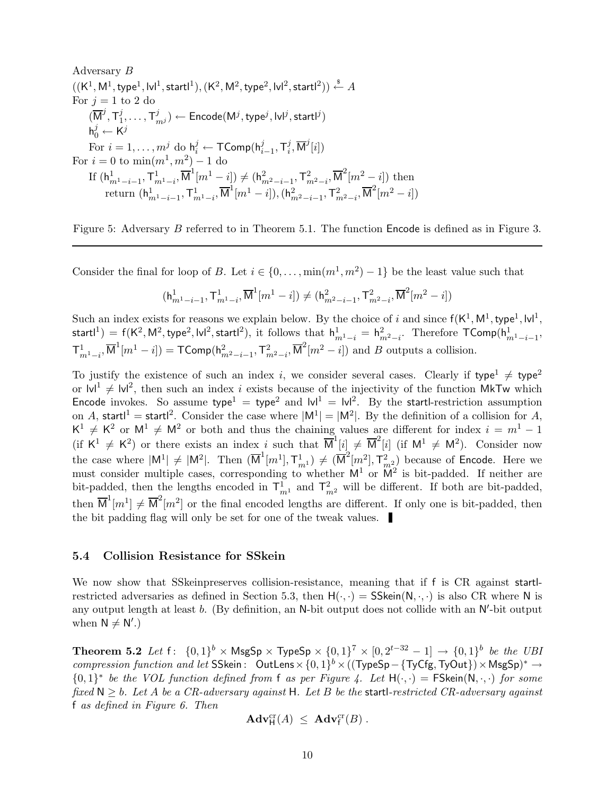Adversary 
$$
B
$$

\n((K<sup>1</sup>, M<sup>1</sup>, type<sup>1</sup>, |v|<sup>1</sup>, start<sup>1</sup>), (K<sup>2</sup>, M<sup>2</sup>, type<sup>2</sup>, |v|<sup>2</sup>, start<sup>2</sup>))  $\stackrel{\$}{\leftarrow} A$ 

\nFor  $j = 1$  to 2 do

\n( $\overline{M}^j, \overline{T}^j_1, \ldots, \overline{T}^j_{m^j}$ ) ←  $Encode(M^j, type^j, |v|^j, start^j)$ 

\n $h^j_0 \leftarrow K^j$ 

\nFor  $i = 1, \ldots, m^j$  do  $h^j_i \leftarrow \text{TComp}(h^j_{i-1}, \overline{T}^j_i, \overline{M}^j[i])$ 

\nFor  $i = 0$  to  $\min(m^1, m^2) - 1$  do

\nIf  $(h^1_{m^1 - i - 1}, \overline{T}^1_{m^1 - i}, \overline{M}^1[m^1 - i]) \neq (h^2_{m^2 - i - 1}, \overline{T}^2_{m^2 - i}, \overline{M}^2[m^2 - i])$  then return  $(h^1_{m^1 - i - 1}, \overline{T}^1_{m^1 - i}, \overline{M}^1[m^1 - i]), (h^2_{m^2 - i - 1}, \overline{T}^2_{m^2 - i}, \overline{M}^2[m^2 - i])$ 

Figure 5: Adversary B referred to in Theorem 5.1. The function Encode is defined as in Figure 3.

Consider the final for loop of B. Let  $i \in \{0, \ldots, \min(m^1, m^2) - 1\}$  be the least value such that

$$
(\mathbf{h}_{m^1-i-1}^1, \mathbf{T}_{m^1-i}^1, \overline{\mathbf{M}}^1[m^1-i]) \neq (\mathbf{h}_{m^2-i-1}^2, \mathbf{T}_{m^2-i}^2, \overline{\mathbf{M}}^2[m^2-i])
$$

Such an index exists for reasons we explain below. By the choice of i and since  $f(K^1, M^1, type^1, |v|^1,$ startl<sup>1</sup>) = f(K<sup>2</sup>, M<sup>2</sup>, type<sup>2</sup>, lvl<sup>2</sup>, startl<sup>2</sup>), it follows that  $h_{m^1-i}^1 = h_{m^2-i}^2$ . Therefore  $\mathsf{TComp}(h_{m^1-i-1}^1,$  $\mathsf{T}^1_{m^1-i}, \overline{\mathsf{M}}^1[m^1-i]) = \mathsf{TComp}(\mathsf{h}^2_{m^2-i-1}, \mathsf{T}^2_{m^2-i}, \overline{\mathsf{M}}^2[m^2-i])$  and B outputs a collision.

To justify the existence of such an index i, we consider several cases. Clearly if type<sup>1</sup>  $\neq$  type<sup>2</sup> or  $|v|^1 \neq |v|^2$ , then such an index i exists because of the injectivity of the function MkTw which Encode invokes. So assume type<sup>1</sup> = type<sup>2</sup> and  $|v|^1 = |v|^2$ . By the startl-restriction assumption on A, startl<sup>1</sup> = startl<sup>2</sup>. Consider the case where  $|M^1| = |M^2|$ . By the definition of a collision for A,  $K^1 \neq K^2$  or  $M^1 \neq M^2$  or both and thus the chaining values are different for index  $i = m^1 - 1$ (if  $K^1 \neq K^2$ ) or there exists an index i such that  $\overline{M}^1[i] \neq \overline{M}^2[i]$  (if  $M^1 \neq M^2$ ). Consider now the case where  $|M^1| \neq |M^2|$ . Then  $(\overline{M}^1[m^1], \mathcal{T}_{m^1}^1) \neq (\overline{M}^2[m^2], \mathcal{T}_{m^2}^2)$  because of Encode. Here we must consider multiple cases, corresponding to whether  $M^1$  or  $M^2$  is bit-padded. If neither are bit-padded, then the lengths encoded in  $\mathsf{T}_{m}^1$  and  $\mathsf{T}_{m}^2$  will be different. If both are bit-padded, then  $\overline{M}^1[m^1] \neq \overline{M}^2[m^2]$  or the final encoded lengths are different. If only one is bit-padded, then the bit padding flag will only be set for one of the tweak values.

#### 5.4 Collision Resistance for SSkein

We now show that SSkeinpreserves collision-resistance, meaning that if f is CR against startrestricted adversaries as defined in Section 5.3, then  $H(\cdot, \cdot) = \mathsf{SSkein}(N, \cdot, \cdot)$  is also CR where N is any output length at least  $b$ . (By definition, an N-bit output does not collide with an N'-bit output when  $N \neq N'$ .)

Theorem 5.2 Let  $f: \{0,1\}^b \times \text{MsgSp} \times \text{TypeSp} \times \{0,1\}^7 \times [0, 2^{t-32} - 1] \rightarrow \{0,1\}^b$  be the UBI compression function and let SSkein: OutLens  $\times \{0,1\}^b \times ((\text{TypeSp}-\{\text{TyCfg},\text{TyOut}\}) \times \text{MsgSp})^* \rightarrow$  ${0,1}^*$  be the VOL function defined from f as per Figure 4. Let  $H(\cdot, \cdot)$  = FSkein $(N, \cdot, \cdot)$  for some fixed  $N \ge b$ . Let A be a CR-adversary against H. Let B be the startl-restricted CR-adversary against f as defined in Figure 6. Then

$$
\mathbf{Adv}_{\mathsf{H}}^{cr}(A) \ \leq \ \mathbf{Adv}_{\mathsf{f}}^{cr}(B) \ .
$$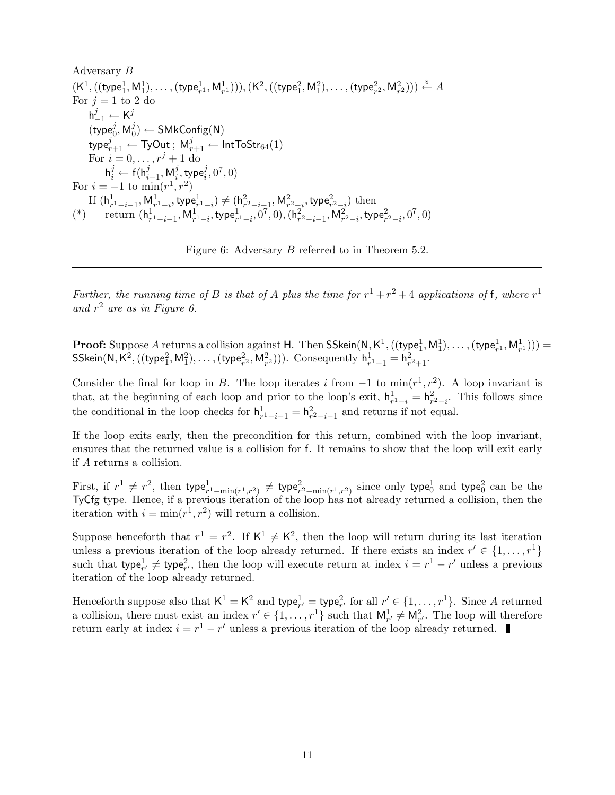Adversary B  $(\mathsf{K}^1,((\mathsf{type}^1_1, \mathsf{M}^1_1), \dots,(\mathsf{type}^1_{r^1}, \mathsf{M}^1_{r^1}))), (\mathsf{K}^2,((\mathsf{type}^2_1, \mathsf{M}^2_1),\dots,(\mathsf{type}^2_{r^2}, \mathsf{M}^2_{r^2}))) \overset{\hspace{0.1em}\mathsf{\scriptscriptstyle\$}}{\leftarrow} A$ For  $j = 1$  to 2 do  $\mathsf{h}_{-1}^j \leftarrow \mathsf{K}^j$  $(\text{type}_0^j, \mathsf{M}_0^j)$ 0 ) ← SMkConfig(N)  $\mathsf{type}_{r+1}^j \leftarrow \mathsf{TyOut} \: ; \: \mathsf{M}_{r+1}^j \leftarrow \mathsf{IntToStr}_{64}(1)$ For  $i = 0, ..., r^j + 1$  do  $\mathsf{h}^j_i \leftarrow \mathsf{f}(\mathsf{h}^j_{i-1}, \mathsf{M}^j_i)$  $i^j$ , type $i^j, 0^7, 0)$ For  $i = -1$  to  $\min(r^1, r^2)$ If  $(\mathsf{h}^1_{r^1-i-1}, \mathsf{M}^1_{r^1-i}, \mathsf{type}^1_{r^1-i}) \neq (\mathsf{h}^2_{r^2-i-1}, \mathsf{M}^2_{r^2-i}, \mathsf{type}^2_{r^2-i})$  then (\*) return  $(h_{r^1-i-1}^1, M_{r^1-i}^1, \text{type}_{r^1-i}^1, 0^7, 0), (h_{r^2-i-1}^2, M_{r^2-i}^2, \text{type}_{r^2-i}^2, 0^7, 0)$ 

Figure 6: Adversary B referred to in Theorem 5.2.

Further, the running time of B is that of A plus the time for  $r^1 + r^2 + 4$  applications of f, where  $r^1$ and  $r^2$  are as in Figure 6.

**Proof:** Suppose A returns a collision against H. Then SSkein( $N, K^1$ ,  $((type_1^1, M_1^1), \ldots, (type_{r^1}^1, M_{r^1}^1)))$  =  $\mathsf{SSkein}(\mathsf{N}, \mathsf{K}^2, ((\mathsf{type}_1^2, \mathsf{M}_1^2), \dots, (\mathsf{type}_{r^2}^2, \mathsf{M}_{r^2}^2)))$ . Consequently  $\mathsf{h}^1_{r^1+1} = \mathsf{h}^2_{r^2+1}$ .

Consider the final for loop in B. The loop iterates i from  $-1$  to  $\min(r^1, r^2)$ . A loop invariant is that, at the beginning of each loop and prior to the loop's exit,  $h_{r-1}^1 = h_{r-1}^2$ . This follows since the conditional in the loop checks for  $h_{r-1-i}^1 = h_{r-1-i-1}^2$  and returns if not equal.

If the loop exits early, then the precondition for this return, combined with the loop invariant, ensures that the returned value is a collision for f. It remains to show that the loop will exit early if A returns a collision.

First, if  $r^1 \neq r^2$ , then type ${}_{r^1-\min(r^1,r^2)}^1 \neq$  type ${}_{r^2-\min(r^1,r^2)}^2$  since only type ${}_{0}^1$  and type ${}_{0}^2$  can be the TyCfg type. Hence, if a previous iteration of the loop has not already returned a collision, then the iteration with  $i = \min(r^1, r^2)$  will return a collision.

Suppose henceforth that  $r^1 = r^2$ . If  $K^1 \neq K^2$ , then the loop will return during its last iteration unless a previous iteration of the loop already returned. If there exists an index  $r' \in \{1, \ldots, r^1\}$ such that type<sup>1</sup><sub>r'</sub>  $\neq$  type<sup>2</sup><sub>r'</sub>, then the loop will execute return at index  $i = r<sup>1</sup> - r'$  unless a previous iteration of the loop already returned.

Henceforth suppose also that  $K^1 = K^2$  and  $type_{r'}^1 = type_{r'}^2$  for all  $r' \in \{1, ..., r^1\}$ . Since A returned a collision, there must exist an index  $r' \in \{1, \ldots, r^1\}$  such that  $M_{r'}^1 \neq M_{r'}^2$ . The loop will therefore return early at index  $i = r^1 - r'$  unless a previous iteration of the loop already returned.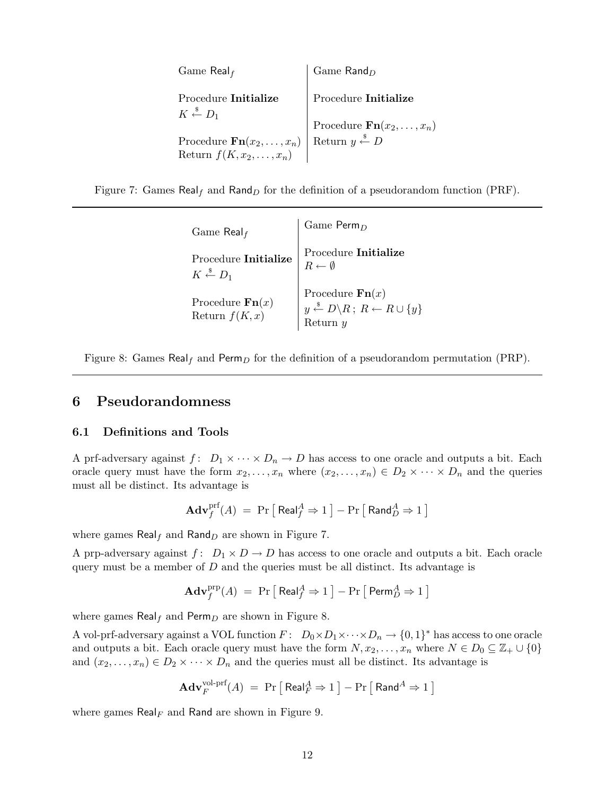| Game Real $_f$                                            | Game $\textsf{Rand}_D$                  |
|-----------------------------------------------------------|-----------------------------------------|
| Procedure Initialize<br>$K \stackrel{\$}{\leftarrow} D_1$ | Procedure Initialize                    |
|                                                           | Procedure $\mathbf{Fn}(x_2,\ldots,x_n)$ |
| Procedure $\mathbf{Fn}(x_2,\ldots,x_n)$                   | Return $y \stackrel{\$}{\leftarrow} D$  |
| Return $f(K, x_2, \ldots, x_n)$                           |                                         |

Figure 7: Games Real<sub>f</sub> and Rand<sub>D</sub> for the definition of a pseudorandom function (PRF).

| Game Real $_f$                                            | Game $\text{Perm}_D$                                                                                                                   |
|-----------------------------------------------------------|----------------------------------------------------------------------------------------------------------------------------------------|
| Procedure Initialize<br>$K \stackrel{\$}{\leftarrow} D_1$ | Procedure Initialize<br>$R \leftarrow \emptyset$                                                                                       |
| Procedure $\mathbf{Fn}(x)$<br>Return $f(K, x)$            | Procedure $\mathbf{Fn}(x)$<br>$y \stackrel{\$}{\leftarrow} D \backslash R$ ; $R \stackrel{\cdot}{\leftarrow} R \cup \{y\}$<br>Return u |

Figure 8: Games Real<sub>f</sub> and Perm<sub>D</sub> for the definition of a pseudorandom permutation (PRP).

## 6 Pseudorandomness

#### 6.1 Definitions and Tools

A prf-adversary against  $f: D_1 \times \cdots \times D_n \to D$  has access to one oracle and outputs a bit. Each oracle query must have the form  $x_2, \ldots, x_n$  where  $(x_2, \ldots, x_n) \in D_2 \times \cdots \times D_n$  and the queries must all be distinct. Its advantage is

$$
\mathbf{Adv}^{\mathrm{prf}}_f(A) \ = \ \Pr\big[\ \mathsf{Real}^A_f \Rightarrow 1\ \big] - \Pr\big[\ \mathsf{Rand}^A_D \Rightarrow 1\ \big]
$$

where games  $\text{Real}_f$  and  $\text{Rand}_D$  are shown in Figure 7.

A prp-adversary against  $f: D_1 \times D \to D$  has access to one oracle and outputs a bit. Each oracle query must be a member of  $D$  and the queries must be all distinct. Its advantage is

$$
\mathbf{Adv}^{\mathrm{prp}}_f(A) \ = \ \Pr\big[\ \mathsf{Real}^A_f \Rightarrow 1 \ \big] - \Pr\big[\ \mathsf{Perm}^A_D \Rightarrow 1 \ \big]
$$

where games Real<sub>f</sub> and Perm<sub>D</sub> are shown in Figure 8.

A vol-prf-adversary against a VOL function  $F: D_0 \times D_1 \times \cdots \times D_n \to \{0,1\}^*$  has access to one oracle and outputs a bit. Each oracle query must have the form  $N, x_2, \ldots, x_n$  where  $N \in D_0 \subseteq \mathbb{Z}_+ \cup \{0\}$ and  $(x_2, \ldots, x_n) \in D_2 \times \cdots \times D_n$  and the queries must all be distinct. Its advantage is

$$
\mathbf{Adv}_{F}^{\text{vol-prf}}(A) = \Pr\left[\text{Real}_{F}^{A} \Rightarrow 1\right] - \Pr\left[\text{Rand}^{A} \Rightarrow 1\right]
$$

where games Real<sub>F</sub> and Rand are shown in Figure 9.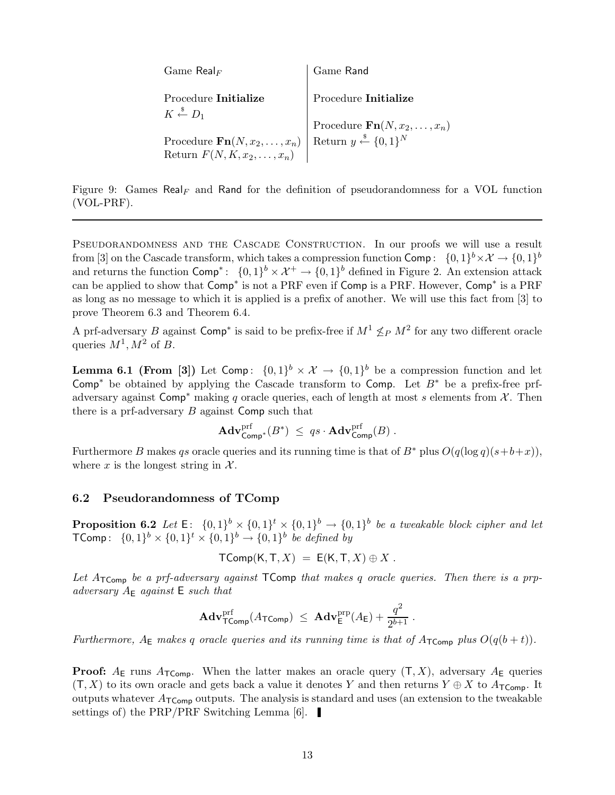| $\mathrm{Game}\ \mathsf{Real}_F$                                                                         | Game Rand                                                                                |
|----------------------------------------------------------------------------------------------------------|------------------------------------------------------------------------------------------|
| Procedure <b>Initialize</b><br>$K \overset{\hspace{0.1em}\mathsf{\scriptscriptstyle\$}}{\leftarrow} D_1$ | Procedure Initialize                                                                     |
|                                                                                                          |                                                                                          |
| Procedure $\mathbf{Fn}(N, x_2, \ldots, x_n)$                                                             | Procedure $\mathbf{Fn}(N, x_2, , x_n)$<br>Return $y \stackrel{s}{\leftarrow} \{0, 1\}^N$ |
| Return $F(N, K, x_2, \ldots, x_n)$                                                                       |                                                                                          |

Figure 9: Games Real<sub>F</sub> and Rand for the definition of pseudorandomness for a VOL function (VOL-PRF).

PSEUDORANDOMNESS AND THE CASCADE CONSTRUCTION. In our proofs we will use a result from [3] on the Cascade transform, which takes a compression function  $\mathsf{Comp} \colon \: \{0,1\}^b \times \mathcal{X} \to \{0,1\}^b$ and returns the function  $\textsf{Comp}^*$ :  $\{0,1\}^b \times \mathcal{X}^+ \to \{0,1\}^b$  defined in Figure 2. An extension attack can be applied to show that  $Comp^*$  is not a PRF even if Comp is a PRF. However, Comp<sup>\*</sup> is a PRF as long as no message to which it is applied is a prefix of another. We will use this fact from [3] to prove Theorem 6.3 and Theorem 6.4.

A prf-adversary B against Comp<sup>\*</sup> is said to be prefix-free if  $M^1 \nleq_P M^2$  for any two different oracle queries  $M^1, M^2$  of B.

**Lemma 6.1 (From [3])** Let Comp:  $\{0,1\}^b \times \mathcal{X} \to \{0,1\}^b$  be a compression function and let Comp<sup>\*</sup> be obtained by applying the Cascade transform to Comp. Let  $B^*$  be a prefix-free prfadversary against Comp<sup>\*</sup> making q oracle queries, each of length at most s elements from  $\mathcal{X}$ . Then there is a prf-adversary  $B$  against Comp such that

$$
\mathbf{Adv}^{\mathrm{prf}}_{\mathsf{Comp}^*}(B^*) \ \leq \ q s \cdot \mathbf{Adv}^{\mathrm{prf}}_{\mathsf{Comp}}(B) \ .
$$

Furthermore B makes qs oracle queries and its running time is that of B<sup>∗</sup> plus  $O(q(\log q)(s+b+x))$ , where x is the longest string in  $\mathcal{X}$ .

#### 6.2 Pseudorandomness of TComp

**Proposition 6.2** Let  $E: \{0,1\}^b \times \{0,1\}^t \times \{0,1\}^b \rightarrow \{0,1\}^b$  be a tweakable block cipher and let **TComp**:  $\{0,1\}^b \times \{0,1\}^t \times \{0,1\}^b \rightarrow \{0,1\}^b$  be defined by

$$
\mathsf{TComp}(\mathsf{K},\mathsf{T},X) \ = \ \mathsf{E}(\mathsf{K},\mathsf{T},X) \oplus X \ .
$$

Let  $A_{\mathsf{TComp}}$  be a prf-adversary against  $\mathsf{TComp}$  that makes q oracle queries. Then there is a prpadversary  $A_{\mathsf{E}}$  against  $\mathsf{E}$  such that

$$
\mathbf{Adv}_{\mathsf{TComp}}^{\text{prf}}(A_{\mathsf{TComp}}) \ \leq \ \mathbf{Adv}_{\mathsf{E}}^{\text{prp}}(A_{\mathsf{E}}) + \frac{q^2}{2^{b+1}} \ .
$$

Furthermore,  $A_{\mathsf{E}}$  makes q oracle queries and its running time is that of  $A_{\mathsf{TComp}}$  plus  $O(q(b+t))$ .

**Proof:**  $A_{\text{E}}$  runs  $A_{\text{TComp}}$ . When the latter makes an oracle query  $(T, X)$ , adversary  $A_{\text{E}}$  queries  $(T, X)$  to its own oracle and gets back a value it denotes Y and then returns  $Y \oplus X$  to  $A_{\mathsf{TComp}}$ . It outputs whatever  $A_{\text{TComp}}$  outputs. The analysis is standard and uses (an extension to the tweakable settings of) the PRP/PRF Switching Lemma [6].  $\blacksquare$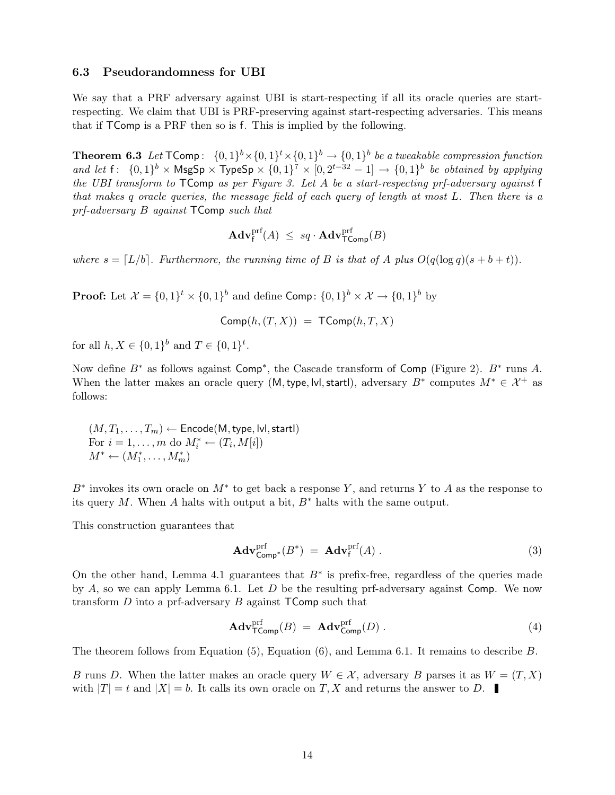#### 6.3 Pseudorandomness for UBI

We say that a PRF adversary against UBI is start-respecting if all its oracle queries are startrespecting. We claim that UBI is PRF-preserving against start-respecting adversaries. This means that if TComp is a PRF then so is f. This is implied by the following.

**Theorem 6.3** Let  $\mathsf{TComp}$ :  $\{0,1\}^b \times \{0,1\}^t \times \{0,1\}^b \to \{0,1\}^b$  be a tweakable compression function and let  $f: \{0,1\}^b \times \mathsf{MsgSp} \times \mathsf{TypeSp} \times \{0,1\}^7 \times [0,2^{t-32}-1] \rightarrow \{0,1\}^b$  be obtained by applying the UBI transform to  $\mathsf{TComp}$  as per Figure 3. Let A be a start-respecting prf-adversary against f that makes q oracle queries, the message field of each query of length at most L. Then there is a prf-adversary B against TComp such that

$$
\mathbf{Adv}^{\text{prf}}_{\mathsf{f}}(A) \ \leq \ sq \cdot \mathbf{Adv}^{\text{prf}}_{\mathsf{Toomp}}(B)
$$

where  $s = [L/b]$ . Furthermore, the running time of B is that of A plus  $O(q(\log q)(s + b + t))$ .

**Proof:** Let  $\mathcal{X} = \{0,1\}^t \times \{0,1\}^b$  and define Comp:  $\{0,1\}^b \times \mathcal{X} \rightarrow \{0,1\}^b$  by

$$
Comp(h,(T,X)) = TComp(h,T,X)
$$

for all  $h, X \in \{0,1\}^b$  and  $T \in \{0,1\}^t$ .

Now define  $B^*$  as follows against  $\mathsf{Comp}^*$ , the Cascade transform of  $\mathsf{Comp}$  (Figure 2).  $B^*$  runs A. When the latter makes an oracle query (M, type, |v|, start|), adversary  $B^*$  computes  $M^* \in \mathcal{X}^+$  as follows:

 $(M, T_1, \ldots, T_m) \leftarrow$  Encode(M, type, lvl, startl) For  $i = 1, ..., m$  do  $M_i^* \leftarrow (T_i, M[i])$  $M^* \leftarrow (M_1^*, \ldots, M_m^*)$ 

B<sup>\*</sup> invokes its own oracle on  $M^*$  to get back a response Y, and returns Y to A as the response to its query M. When A halts with output a bit,  $B^*$  halts with the same output.

This construction guarantees that

$$
\mathbf{Adv}_{\mathsf{Comp}^*}^{\text{prf}}(B^*) = \mathbf{Adv}_{\mathsf{f}}^{\text{prf}}(A) . \tag{3}
$$

On the other hand, Lemma 4.1 guarantees that  $B^*$  is prefix-free, regardless of the queries made by  $A$ , so we can apply Lemma 6.1. Let  $D$  be the resulting prf-adversary against Comp. We now transform  $D$  into a prf-adversary  $B$  against  $\mathsf{TComp}$  such that

$$
\mathbf{Adv}_{\mathsf{Toomp}}^{\text{prf}}(B) = \mathbf{Adv}_{\mathsf{Comp}}^{\text{prf}}(D) . \tag{4}
$$

The theorem follows from Equation (5), Equation (6), and Lemma 6.1. It remains to describe B.

B runs D. When the latter makes an oracle query  $W \in \mathcal{X}$ , adversary B parses it as  $W = (T, X)$ with  $|T| = t$  and  $|X| = b$ . It calls its own oracle on T, X and returns the answer to D.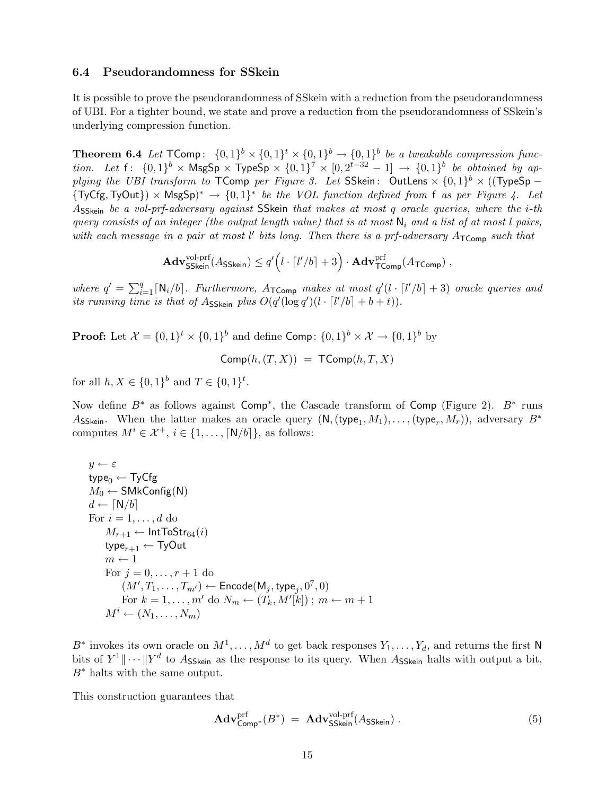#### 6.4 Pseudorandomness for SSkein

It is possible to prove the pseudorandomness of SSkein with a reduction from the pseudorandomness of UBI. For a tighter bound, we state and prove a reduction from the pseudorandomness of SSkein's underlying compression function.

**Theorem 6.4** Let  $\mathsf{TComp}\colon \{0,1\}^b \times \{0,1\}^t \times \{0,1\}^b \to \{0,1\}^b$  be a tweakable compression function. Let  $f: \{0,1\}^b \times \text{MsgSp} \times \text{TypeSp} \times \{0,1\}^7 \times [0, 2^{t-32} - 1] \rightarrow \{0,1\}^b$  be obtained by applying the UBI transform to TComp per Figure 3. Let SSkein: OutLens  $\times \{0,1\}^b \times ((\text{TypeSp} {\rm (TyCfg, TyOut)} \times {\rm (MsgSp)}^* \to {0,1}^*$  be the VOL function defined from f as per Figure 4. Let ASSkein be a vol-prf-adversary against SSkein that makes at most q oracle queries, where the i-th query consists of an integer (the output length value) that is at most  $N_i$  and a list of at most l pairs, with each message in a pair at most  $l'$  bits long. Then there is a prf-adversary  $A_{\mathsf{TComp}}$  such that

$$
\mathbf{Adv}_{\mathsf{SSkein}}^{\text{vol-prf}}(A_{\mathsf{SSkein}}) \leq q' \Big( l \cdot \lceil l'/b \rceil + 3 \Big) \cdot \mathbf{Adv}_{\mathsf{TComp}}^{\text{prf}}(A_{\mathsf{TComp}}) \ ,
$$

where  $q' = \sum_{i=1}^q [N_i/b]$ . Furthermore,  $A_{\text{Toomp}}$  makes at most  $q'(l \cdot [l'/b] + 3)$  oracle queries and its running time is that of Asskein plus  $O(q'(\log q')(l \cdot [l'/b] + b + t)).$ 

**Proof:** Let  $\mathcal{X} = \{0,1\}^t \times \{0,1\}^b$  and define Comp:  $\{0,1\}^b \times \mathcal{X} \rightarrow \{0,1\}^b$  by

$$
Comp(h,(T,X)) = TComp(h,T,X)
$$

for all  $h, X \in \{0,1\}^b$  and  $T \in \{0,1\}^t$ .

Now define  $B^*$  as follows against  $\textsf{Comp}^*$ , the Cascade transform of  $\textsf{Comp}$  (Figure 2).  $B^*$  runs Asskein. When the latter makes an oracle query  $(N, (type_1, M_1), \ldots, (type_r, M_r)),$  adversary  $B^*$ computes  $M^i \in \mathcal{X}^+$ ,  $i \in \{1, \ldots, \lceil N/b \rceil\}$ , as follows:

$$
y \leftarrow \varepsilon
$$
\n
$$
type_0 \leftarrow \text{TyCfg}
$$
\n
$$
M_0 \leftarrow \text{SMkConfig(N)}
$$
\n
$$
d \leftarrow [N/b]
$$
\n
$$
\text{For } i = 1, ..., d \text{ do}
$$
\n
$$
M_{r+1} \leftarrow \text{IntToStr}_{64}(i)
$$
\n
$$
\text{type}_{r+1} \leftarrow \text{TyOut}
$$
\n
$$
m \leftarrow 1
$$
\n
$$
\text{For } j = 0, ..., r + 1 \text{ do}
$$
\n
$$
(M', T_1, ..., T_{m'}) \leftarrow \text{Encode}(M_j, \text{type}_j, 0^7, 0)
$$
\n
$$
\text{For } k = 1, ..., m' \text{ do } N_m \leftarrow (T_k, M'[k]) ; m \leftarrow m + 1
$$
\n
$$
M^i \leftarrow (N_1, ..., N_m)
$$

B<sup>∗</sup> invokes its own oracle on  $M^1, \ldots, M^d$  to get back responses  $Y_1, \ldots, Y_d$ , and returns the first N bits of  $Y^1 \|\cdots\| Y^d$  to Asskein as the response to its query. When Asskein halts with output a bit,  $B^*$  halts with the same output.

This construction guarantees that

$$
\mathbf{Adv}_{\mathsf{Comp}^*}^{\text{prf}}(B^*) = \mathbf{Adv}_{\mathsf{SSkein}}^{\text{vol-prf}}(A_{\mathsf{SSkein}}) . \tag{5}
$$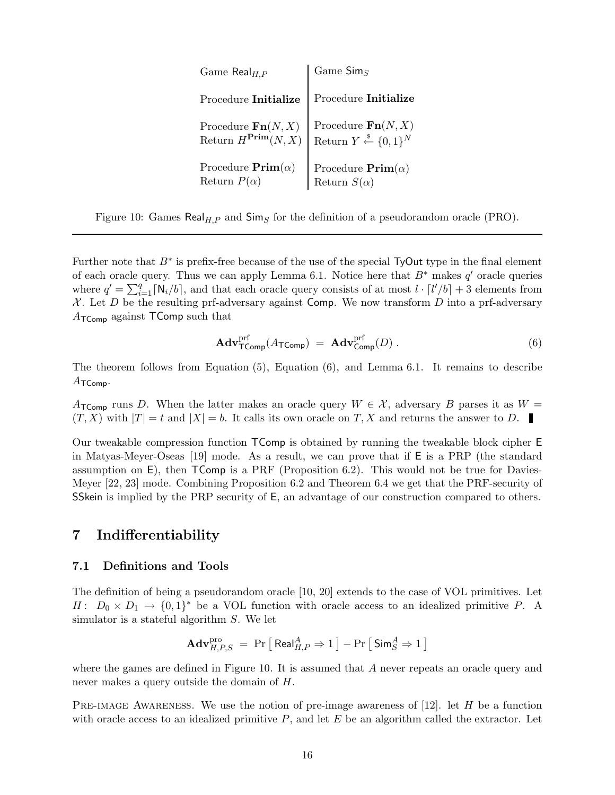| Game $\textsf{Real}_{H,P}$                                        | Game $\mathsf{Sim}_S$                                                                                           |
|-------------------------------------------------------------------|-----------------------------------------------------------------------------------------------------------------|
| Procedure Initialize                                              | Procedure Initialize                                                                                            |
| Procedure $\mathbf{Fn}(N, X)$<br>Return $H^{\mathbf{Prim}}(N, X)$ | $\begin{array}{l} \mbox{Procedure } \mathbf{Fn}(N,X) \\ \mbox{Return } Y \xleftarrow{\$} \{0,1\}^N \end{array}$ |
| Procedure $\text{Prim}(\alpha)$<br>Return $P(\alpha)$             | Procedure $\text{Prim}(\alpha)$<br>Return $S(\alpha)$                                                           |

Figure 10: Games  $\text{Real}_{H,P}$  and  $\text{Sim}_S$  for the definition of a pseudorandom oracle (PRO).

Further note that  $B^*$  is prefix-free because of the use of the special TyOut type in the final element of each oracle query. Thus we can apply Lemma 6.1. Notice here that  $B^*$  makes  $q'$  oracle queries where  $q' = \sum_{i=1}^{q} \lceil N_i/b \rceil$ , and that each oracle query consists of at most  $l \cdot \lceil l'/b \rceil + 3$  elements from  $X$ . Let D be the resulting prf-adversary against Comp. We now transform D into a prf-adversary  $A_{\mathsf{TComp}}$  against TComp such that

$$
\mathbf{Adv}_{\mathsf{TComp}}^{\text{prf}}(A_{\mathsf{TComp}}) = \mathbf{Adv}_{\mathsf{Comp}}^{\text{prf}}(D) . \tag{6}
$$

The theorem follows from Equation (5), Equation (6), and Lemma 6.1. It remains to describe  $A_{\mathsf{TComp}}$ .

A<sub>TComp</sub> runs D. When the latter makes an oracle query  $W \in \mathcal{X}$ , adversary B parses it as  $W =$  $(T, X)$  with  $|T| = t$  and  $|X| = b$ . It calls its own oracle on T, X and returns the answer to D.

Our tweakable compression function TComp is obtained by running the tweakable block cipher E in Matyas-Meyer-Oseas [19] mode. As a result, we can prove that if E is a PRP (the standard assumption on E), then TComp is a PRF (Proposition 6.2). This would not be true for Davies-Meyer [22, 23] mode. Combining Proposition 6.2 and Theorem 6.4 we get that the PRF-security of SSkein is implied by the PRP security of E, an advantage of our construction compared to others.

## 7 Indifferentiability

#### 7.1 Definitions and Tools

The definition of being a pseudorandom oracle [10, 20] extends to the case of VOL primitives. Let  $H: D_0 \times D_1 \to \{0,1\}^*$  be a VOL function with oracle access to an idealized primitive P. A simulator is a stateful algorithm S. We let

$$
\mathbf{Adv}_{H,P,S}^{\text{pro}} = \Pr\left[\text{Real}_{H,P}^{A} \Rightarrow 1\right] - \Pr\left[\text{Sim}_{S}^{A} \Rightarrow 1\right]
$$

where the games are defined in Figure 10. It is assumed that  $A$  never repeats an oracle query and never makes a query outside the domain of H.

PRE-IMAGE AWARENESS. We use the notion of pre-image awareness of  $[12]$ . let H be a function with oracle access to an idealized primitive  $P$ , and let  $E$  be an algorithm called the extractor. Let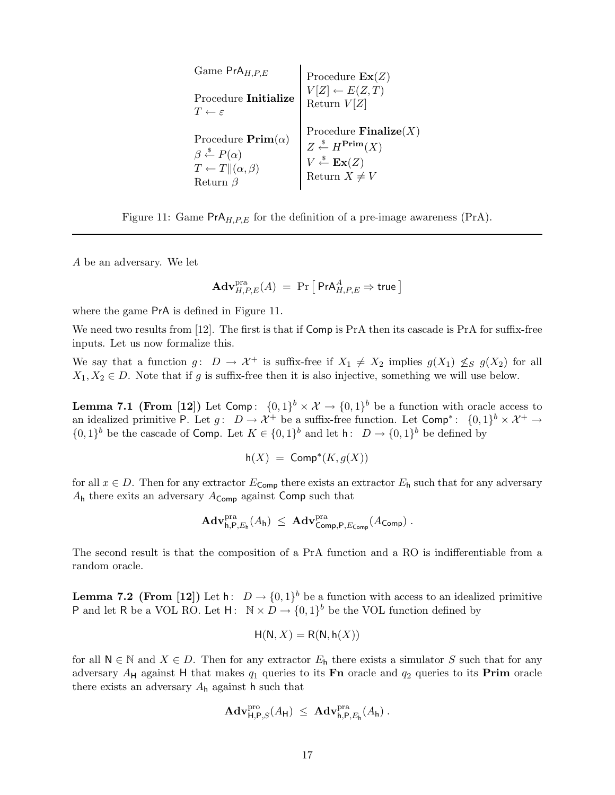| Game $PrA_{H.P.E}$                                                                                                                     | Procedure $\text{Ex}(Z)$                                                                                                                                                          |
|----------------------------------------------------------------------------------------------------------------------------------------|-----------------------------------------------------------------------------------------------------------------------------------------------------------------------------------|
| Procedure Initialize<br>$T \leftarrow \varepsilon$                                                                                     | $V[Z] \leftarrow E(Z,T)$<br>Return $V[Z]$                                                                                                                                         |
| Procedure $\text{Prim}(\alpha)$<br>$\beta \overset{\$}{\leftarrow} P(\alpha)$<br>$T \leftarrow T \  (\alpha, \beta)$<br>Return $\beta$ | Procedure <b>Finalize</b> $(X)$<br>$Z \stackrel{\$}{\leftarrow} H^{\text{Prim}}(X)$<br>$\begin{array}{c} V \xleftarrow{\$} \mathbf{Ex}(Z) \\ \text{Return } X \neq V \end{array}$ |

Figure 11: Game  $PrA_{H,P,E}$  for the definition of a pre-image awareness (PrA).

A be an adversary. We let

$$
\mathbf{Adv}_{H,P,E}^{\mathrm{pra}}(A) \;=\; \Pr\big[\; \mathsf{PrA}_{H,P,E}^{A} \Rightarrow \mathsf{true} \,\big]
$$

where the game PrA is defined in Figure 11.

We need two results from [12]. The first is that if Comp is PrA then its cascade is PrA for suffix-free inputs. Let us now formalize this.

We say that a function  $g: D \to \mathcal{X}^+$  is suffix-free if  $X_1 \neq X_2$  implies  $g(X_1) \nleq_S g(X_2)$  for all  $X_1, X_2 \in D$ . Note that if g is suffix-free then it is also injective, something we will use below.

**Lemma 7.1 (From [12])** Let Comp:  $\{0,1\}^b \times \mathcal{X} \to \{0,1\}^b$  be a function with oracle access to an idealized primitive P. Let  $g: D \to \chi^+$  be a suffix-free function. Let  $\textsf{Comp}^*: \{0,1\}^b \times \chi^+ \to$  $\{0,1\}^b$  be the cascade of Comp. Let  $K \in \{0,1\}^b$  and let  $h: D \to \{0,1\}^b$  be defined by

$$
h(X) = \text{Comp}^*(K, g(X))
$$

for all  $x \in D$ . Then for any extractor  $E_{\text{Comp}}$  there exists an extractor  $E_{\text{h}}$  such that for any adversary  $A_h$  there exits an adversary  $A_{Comp}$  against Comp such that

$$
\mathbf{Adv}_{\mathsf{h},\mathsf{P},E_{\mathsf{h}}}^{\mathrm{pra}}(A_{\mathsf{h}}) \ \leq \ \mathbf{Adv}_{\mathsf{Comp},\mathsf{P},E_{\mathsf{Comp}}}^{\mathrm{pra}}(A_{\mathsf{Comp}}) \ .
$$

The second result is that the composition of a PrA function and a RO is indifferentiable from a random oracle.

**Lemma 7.2 (From [12])** Let  $h: D \to \{0,1\}^b$  be a function with access to an idealized primitive P and let R be a VOL RO. Let  $H: \mathbb{N} \times D \to \{0,1\}^b$  be the VOL function defined by

$$
H(N, X) = R(N, h(X))
$$

for all  $N \in \mathbb{N}$  and  $X \in D$ . Then for any extractor  $E_h$  there exists a simulator S such that for any adversary  $A_H$  against H that makes  $q_1$  queries to its Fn oracle and  $q_2$  queries to its Prim oracle there exists an adversary  $A_h$  against h such that

$$
\mathbf{Adv}_{\mathsf{H},\mathsf{P},S}^{\rm pro}(A_{\mathsf{H}}) \ \leq \ \mathbf{Adv}_{\mathsf{h},\mathsf{P},E_{\mathsf{h}}}^{\rm pra}(A_{\mathsf{h}}) \ .
$$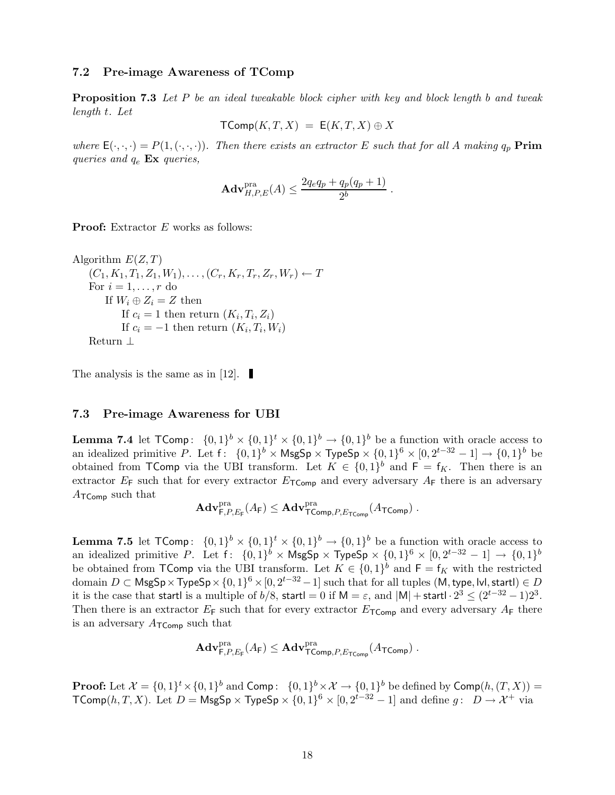#### 7.2 Pre-image Awareness of TComp

**Proposition 7.3** Let P be an ideal tweakable block cipher with key and block length b and tweak length t. Let

$$
\mathsf{TComp}(K,T,X) = \mathsf{E}(K,T,X) \oplus X
$$

where  $\mathsf{E}(\cdot,\cdot,\cdot) = P(1,(\cdot,\cdot,\cdot))$ . Then there exists an extractor E such that for all A making  $q_p$  **Prim** queries and  $q_e$  Ex queries,

$$
\mathbf{Adv}_{H,P,E}^{\text{pra}}(A) \le \frac{2q_eq_p + q_p(q_p+1)}{2^b}.
$$

**Proof:** Extractor E works as follows:

```
Algorithm E(Z, T)(C_1, K_1, T_1, Z_1, W_1), \ldots, (C_r, K_r, T_r, Z_r, W_r) \leftarrow TFor i = 1, \ldots, r do
        If W_i \oplus Z_i = Z then
            If c_i = 1 then return (K_i, T_i, Z_i)If c_i = -1 then return (K_i, T_i, W_i)Return ⊥
```
The analysis is the same as in [12].  $\blacksquare$ 

#### 7.3 Pre-image Awareness for UBI

**Lemma 7.4** let  $\mathsf{TComp}\colon \{0,1\}^b \times \{0,1\}^t \times \{0,1\}^b \to \{0,1\}^b$  be a function with oracle access to an idealized primitive P. Let  $f: \{0,1\}^b \times \mathsf{MsgSp} \times \mathsf{TypeSp} \times \{0,1\}^6 \times [0,2^{t-32}-1] \to \{0,1\}^b$  be obtained from TComp via the UBI transform. Let  $K \in \{0,1\}^b$  and  $F = f_K$ . Then there is an extractor  $E_F$  such that for every extractor  $E_{TComp}$  and every adversary  $A_F$  there is an adversary  $A_{\mathsf{TComp}}$  such that

$$
\mathbf{Adv}_{\mathsf{F},P,E_{\mathsf{F}}}^{\mathrm{pra}}(A_{\mathsf{F}}) \leq \mathbf{Adv}_{\mathsf{TComp},P,E_{\mathsf{TComp}}}^{\mathrm{pra}}(A_{\mathsf{TComp}}) \ .
$$

**Lemma 7.5** let  $\mathsf{TComp}\colon \{0,1\}^b \times \{0,1\}^t \times \{0,1\}^b \to \{0,1\}^b$  be a function with oracle access to an idealized primitive P. Let  $f: \{0,1\}^b \times \mathsf{MsgSp} \times \mathsf{TypeSp} \times \{0,1\}^6 \times [0,2^{t-32}-1] \to \{0,1\}^b$ be obtained from TComp via the UBI transform. Let  $K \in \{0,1\}^b$  and  $F = f_K$  with the restricted  $\text{domain } D \subset \mathsf{MsgSp} \times \mathsf{TypeSp} \times \{0,1\}^6 \times [0, 2^{t-32}-1] \text{ such that for all tuples } (\mathsf{M}, \textsf{type}, \textsf{lvl}, \textsf{startl}) \in D$ it is the case that startl is a multiple of b/8, startl = 0 if M =  $\varepsilon$ , and  $|M|$  + startl ·  $2^3 \leq (2^{t-32} - 1)2^3$ . Then there is an extractor  $E_F$  such that for every extractor  $E_{TComp}$  and every adversary  $A_F$  there is an adversary  $A_{\mathsf{TComp}}$  such that

$$
\mathbf{Adv}_{\mathsf{F},P,E_{\mathsf{F}}}^{\mathrm{pra}}(A_{\mathsf{F}}) \leq \mathbf{Adv}_{\mathsf{TComp},P,E_{\mathsf{TComp}}}^{\mathrm{pra}}(A_{\mathsf{TComp}}) \ .
$$

**Proof:** Let  $\mathcal{X} = \{0,1\}^t \times \{0,1\}^b$  and  $\textsf{Comp}: \{0,1\}^b \times \mathcal{X} \to \{0,1\}^b$  be defined by  $\textsf{Comp}(h,(T,X)) =$  $\mathsf{TComp}(h,T,X)$ . Let  $D = \mathsf{MsgSp} \times \mathsf{TypeSp} \times \{0,1\}^6 \times [0, 2^{t-32} - 1]$  and define  $g: D \to \mathcal{X}^+$  via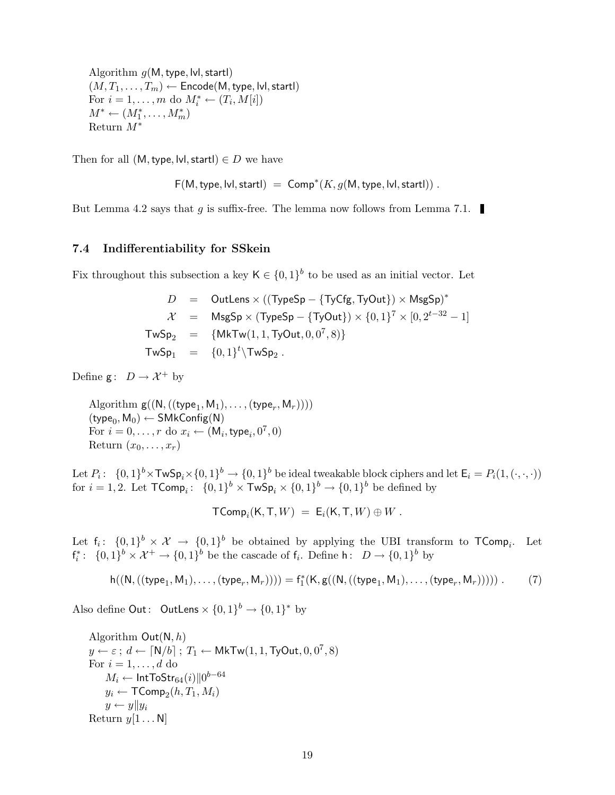Algorithm  $g(M, \text{type}, \text{lvl}, \text{startl})$  $(M, T_1, \ldots, T_m) \leftarrow$  Encode(M, type, lvl, startl) For  $i = 1, ..., m$  do  $M_i^* \leftarrow (T_i, M[i])$  $M^* \leftarrow (M_1^*, \ldots, M_m^*)$ Return M<sup>∗</sup>

Then for all  $(M, type, Ivl, start) \in D$  we have

 $F(M, \text{type}, \text{lvl}, \text{start}) = \text{Comp}^*(K, g(M, \text{type}, \text{lvl}, \text{start})).$ 

But Lemma 4.2 says that g is suffix-free. The lemma now follows from Lemma 7.1.

#### 7.4 Indifferentiability for SSkein

Fix throughout this subsection a key  $\mathsf{K} \in \{0,1\}^b$  to be used as an initial vector. Let

$$
D = OutLens \times ((TypeSp - {TyCfg, TyOut}) \times MsgSp)*
$$
\n
$$
\mathcal{X} = MsgSp \times (TypeSp - {TyOut}) \times {0, 1}^7 \times [0, 2^{t-32} - 1]
$$
\n
$$
TwSp_2 = {MKTw(1, 1, TyOut, 0, 0^7, 8)}
$$
\n
$$
TwSp_1 = {0, 1}^t \setminus TwSp_2.
$$

Define  $g: D \to \mathcal{X}^+$  by

Algorithm  $g((N, ((type_1, M_1), \ldots, (type_r, M_r))))$  $(\mathsf{type}_0, \mathsf{M}_0) \leftarrow \mathsf{SMkConfig}(\mathsf{N})$ For  $i = 0, \ldots, r$  do  $x_i \leftarrow (\mathsf{M}_i, \mathsf{type}_i, 0^7, 0)$ Return  $(x_0, \ldots, x_r)$ 

Let  $P_i: \ \{0,1\}^b \times \textsf{TwSp}_i \times \{0,1\}^b \to \{0,1\}^b$  be ideal tweakable block ciphers and let  $\mathsf{E}_i = P_i(1, (\cdot, \cdot, \cdot))$ for  $i = 1, 2$ . Let  $\mathsf{TComp}_i: \ \{0,1\}^b \times \mathsf{TwSp}_i \times \{0,1\}^b \to \{0,1\}^b$  be defined by

$$
\mathsf{TComp}_i(\mathsf{K}, \mathsf{T}, W) = \mathsf{E}_i(\mathsf{K}, \mathsf{T}, W) \oplus W.
$$

Let  $f_i: \{0,1\}^b \times \mathcal{X} \to \{0,1\}^b$  be obtained by applying the UBI transform to  $\mathsf{TComp}_i$ . Let f ∗  $i^*$ :  $\{0,1\}^b \times \mathcal{X}^+ \to \{0,1\}^b$  be the cascade of  $f_i$ . Define h:  $D \to \{0,1\}^b$  by

$$
h((N,((type_1, M_1), \ldots, (type_r, M_r)))) = f_1^*(K, g((N,((type_1, M_1), \ldots, (type_r, M_r))))\ . \hspace{1cm} (7)
$$

Also define Out: OutLens  $\times \{0,1\}^b \rightarrow \{0,1\}^*$  by

Algorithm  $Out(N, h)$  $y \leftarrow \varepsilon$  ;  $d \leftarrow \lceil \mathsf{N}/b \rceil$  ;  $T_1 \leftarrow \mathsf{M} \mathsf{k} \mathsf{T} \mathsf{w} (1,1,\mathsf{T} \mathsf{y} \mathsf{Out},0,0^7,8)$ For  $i = 1, \ldots, d$  do  $M_i \leftarrow \mathsf{IntToStr}_{64}(i) \| 0^{b-64}$  $y_i \leftarrow \mathsf{TComp}_2(h, T_1, M_i)$  $y \leftarrow y||y_i$ Return  $y[1 \dots N]$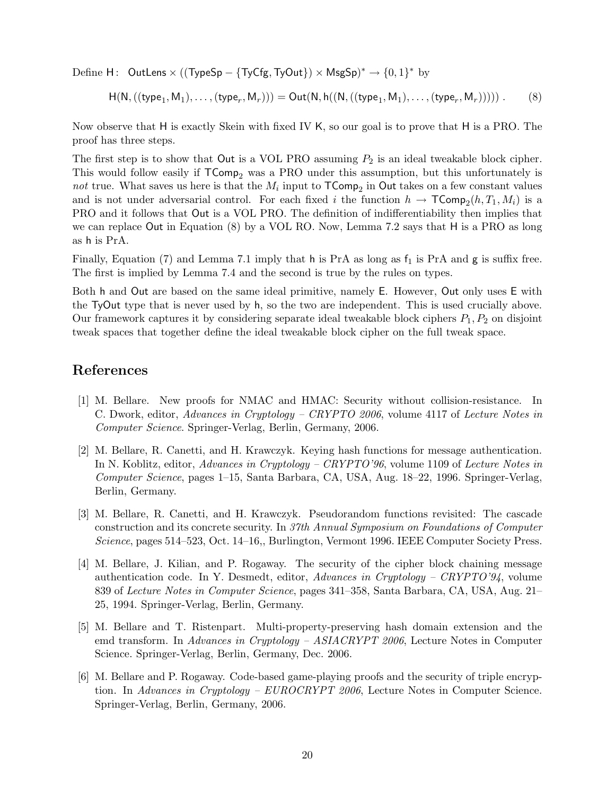Define  $H:$  OutLens  $\times$  ((TypeSp – {TyCfg, TyOut})  $\times$  MsgSp)<sup>\*</sup>  $\rightarrow$   $\{0,1\}^*$  by

$$
H(N, ((type_1, M_1), \ldots, (type_r, M_r))) = Out(N, h((N, ((type_1, M_1), \ldots, (type_r, M_r))))).
$$
 (8)

Now observe that H is exactly Skein with fixed IV K, so our goal is to prove that H is a PRO. The proof has three steps.

The first step is to show that Out is a VOL PRO assuming  $P_2$  is an ideal tweakable block cipher. This would follow easily if  $\mathsf{TComp}_2$  was a PRO under this assumption, but this unfortunately is not true. What saves us here is that the  $M_i$  input to  $\mathsf{TComp}_2$  in Out takes on a few constant values and is not under adversarial control. For each fixed i the function  $h \to \mathsf{TComp}_2(h, T_1, M_i)$  is a PRO and it follows that Out is a VOL PRO. The definition of indifferentiability then implies that we can replace Out in Equation (8) by a VOL RO. Now, Lemma 7.2 says that H is a PRO as long as h is PrA.

Finally, Equation (7) and Lemma 7.1 imply that h is PrA as long as  $f_1$  is PrA and g is suffix free. The first is implied by Lemma 7.4 and the second is true by the rules on types.

Both h and Out are based on the same ideal primitive, namely E. However, Out only uses E with the TyOut type that is never used by h, so the two are independent. This is used crucially above. Our framework captures it by considering separate ideal tweakable block ciphers  $P_1, P_2$  on disjoint tweak spaces that together define the ideal tweakable block cipher on the full tweak space.

## References

- [1] M. Bellare. New proofs for NMAC and HMAC: Security without collision-resistance. In C. Dwork, editor, Advances in Cryptology – CRYPTO 2006, volume 4117 of Lecture Notes in Computer Science. Springer-Verlag, Berlin, Germany, 2006.
- [2] M. Bellare, R. Canetti, and H. Krawczyk. Keying hash functions for message authentication. In N. Koblitz, editor, Advances in Cryptology – CRYPTO'96, volume 1109 of Lecture Notes in Computer Science, pages 1–15, Santa Barbara, CA, USA, Aug. 18–22, 1996. Springer-Verlag, Berlin, Germany.
- [3] M. Bellare, R. Canetti, and H. Krawczyk. Pseudorandom functions revisited: The cascade construction and its concrete security. In 37th Annual Symposium on Foundations of Computer Science, pages 514–523, Oct. 14–16,, Burlington, Vermont 1996. IEEE Computer Society Press.
- [4] M. Bellare, J. Kilian, and P. Rogaway. The security of the cipher block chaining message authentication code. In Y. Desmedt, editor, Advances in Cryptology – CRYPTO'94, volume 839 of Lecture Notes in Computer Science, pages 341–358, Santa Barbara, CA, USA, Aug. 21– 25, 1994. Springer-Verlag, Berlin, Germany.
- [5] M. Bellare and T. Ristenpart. Multi-property-preserving hash domain extension and the emd transform. In Advances in Cryptology – ASIACRYPT 2006, Lecture Notes in Computer Science. Springer-Verlag, Berlin, Germany, Dec. 2006.
- [6] M. Bellare and P. Rogaway. Code-based game-playing proofs and the security of triple encryption. In Advances in Cryptology – EUROCRYPT 2006, Lecture Notes in Computer Science. Springer-Verlag, Berlin, Germany, 2006.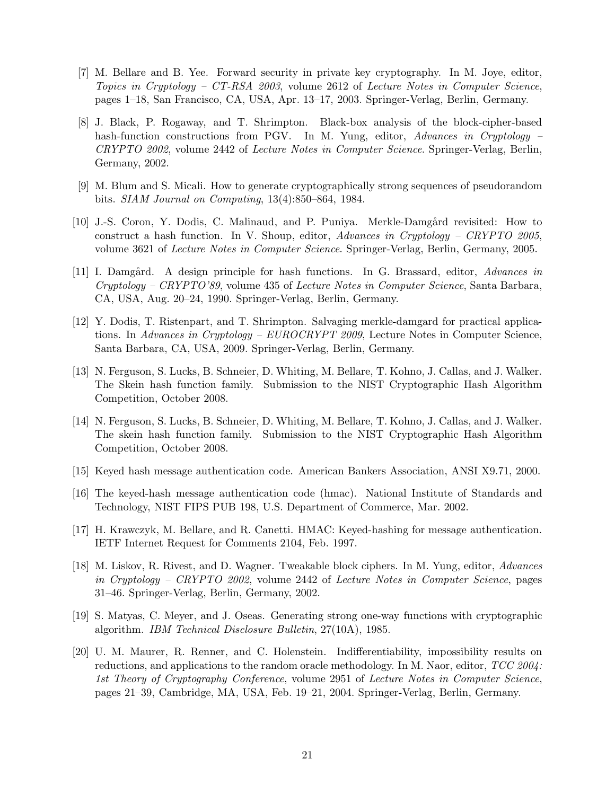- [7] M. Bellare and B. Yee. Forward security in private key cryptography. In M. Joye, editor, Topics in Cryptology – CT-RSA 2003, volume 2612 of Lecture Notes in Computer Science, pages 1–18, San Francisco, CA, USA, Apr. 13–17, 2003. Springer-Verlag, Berlin, Germany.
- [8] J. Black, P. Rogaway, and T. Shrimpton. Black-box analysis of the block-cipher-based hash-function constructions from PGV. In M. Yung, editor, Advances in Cryptology – CRYPTO 2002, volume 2442 of Lecture Notes in Computer Science. Springer-Verlag, Berlin, Germany, 2002.
- [9] M. Blum and S. Micali. How to generate cryptographically strong sequences of pseudorandom bits. SIAM Journal on Computing, 13(4):850–864, 1984.
- [10] J.-S. Coron, Y. Dodis, C. Malinaud, and P. Puniya. Merkle-Damgård revisited: How to construct a hash function. In V. Shoup, editor, Advances in Cryptology – CRYPTO 2005, volume 3621 of Lecture Notes in Computer Science. Springer-Verlag, Berlin, Germany, 2005.
- [11] I. Damgård. A design principle for hash functions. In G. Brassard, editor, Advances in Cryptology – CRYPTO'89, volume 435 of Lecture Notes in Computer Science, Santa Barbara, CA, USA, Aug. 20–24, 1990. Springer-Verlag, Berlin, Germany.
- [12] Y. Dodis, T. Ristenpart, and T. Shrimpton. Salvaging merkle-damgard for practical applications. In Advances in Cryptology – EUROCRYPT 2009, Lecture Notes in Computer Science, Santa Barbara, CA, USA, 2009. Springer-Verlag, Berlin, Germany.
- [13] N. Ferguson, S. Lucks, B. Schneier, D. Whiting, M. Bellare, T. Kohno, J. Callas, and J. Walker. The Skein hash function family. Submission to the NIST Cryptographic Hash Algorithm Competition, October 2008.
- [14] N. Ferguson, S. Lucks, B. Schneier, D. Whiting, M. Bellare, T. Kohno, J. Callas, and J. Walker. The skein hash function family. Submission to the NIST Cryptographic Hash Algorithm Competition, October 2008.
- [15] Keyed hash message authentication code. American Bankers Association, ANSI X9.71, 2000.
- [16] The keyed-hash message authentication code (hmac). National Institute of Standards and Technology, NIST FIPS PUB 198, U.S. Department of Commerce, Mar. 2002.
- [17] H. Krawczyk, M. Bellare, and R. Canetti. HMAC: Keyed-hashing for message authentication. IETF Internet Request for Comments 2104, Feb. 1997.
- [18] M. Liskov, R. Rivest, and D. Wagner. Tweakable block ciphers. In M. Yung, editor, Advances in Cryptology – CRYPTO 2002, volume 2442 of Lecture Notes in Computer Science, pages 31–46. Springer-Verlag, Berlin, Germany, 2002.
- [19] S. Matyas, C. Meyer, and J. Oseas. Generating strong one-way functions with cryptographic algorithm. IBM Technical Disclosure Bulletin, 27(10A), 1985.
- [20] U. M. Maurer, R. Renner, and C. Holenstein. Indifferentiability, impossibility results on reductions, and applications to the random oracle methodology. In M. Naor, editor, TCC 2004: 1st Theory of Cryptography Conference, volume 2951 of Lecture Notes in Computer Science, pages 21–39, Cambridge, MA, USA, Feb. 19–21, 2004. Springer-Verlag, Berlin, Germany.